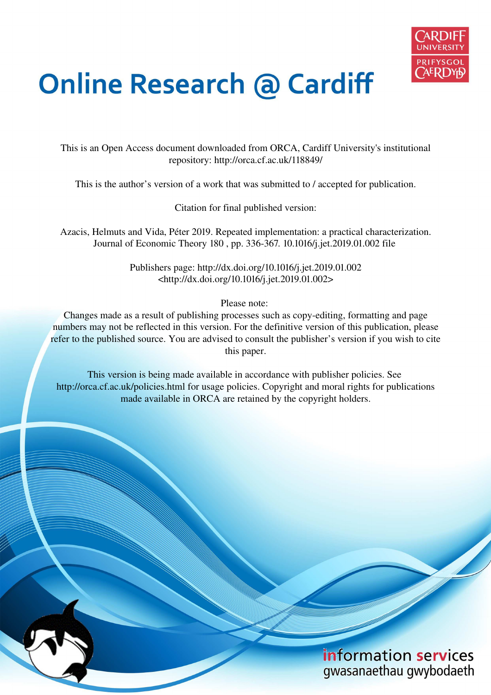

# **Online Research @ Cardiff**

This is an Open Access document downloaded from ORCA, Cardiff University's institutional repository: http://orca.cf.ac.uk/118849/

This is the author's version of a work that was submitted to / accepted for publication.

Citation for final published version:

Azacis, Helmuts and Vida, Péter 2019. Repeated implementation: a practical characterization. Journal of Economic Theory 180 , pp. 336-367. 10.1016/j.jet.2019.01.002 file

> Publishers page: http://dx.doi.org/10.1016/j.jet.2019.01.002 <http://dx.doi.org/10.1016/j.jet.2019.01.002>

> > Please note:

Changes made as a result of publishing processes such as copy-editing, formatting and page numbers may not be reflected in this version. For the definitive version of this publication, please refer to the published source. You are advised to consult the publisher's version if you wish to cite this paper.

This version is being made available in accordance with publisher policies. See http://orca.cf.ac.uk/policies.html for usage policies. Copyright and moral rights for publications made available in ORCA are retained by the copyright holders.

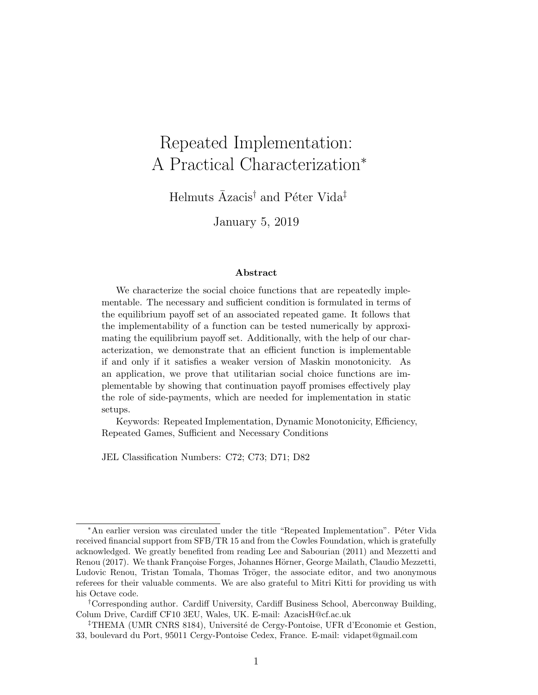# Repeated Implementation: A Practical Characterization<sup>∗</sup>

Helmuts  $\bar{A}zacis^{\dagger}$  and Péter Vida<sup>‡</sup>

January 5, 2019

#### Abstract

We characterize the social choice functions that are repeatedly implementable. The necessary and sufficient condition is formulated in terms of the equilibrium payoff set of an associated repeated game. It follows that the implementability of a function can be tested numerically by approximating the equilibrium payoff set. Additionally, with the help of our characterization, we demonstrate that an efficient function is implementable if and only if it satisfies a weaker version of Maskin monotonicity. As an application, we prove that utilitarian social choice functions are implementable by showing that continuation payoff promises effectively play the role of side-payments, which are needed for implementation in static setups.

Keywords: Repeated Implementation, Dynamic Monotonicity, Efficiency, Repeated Games, Sufficient and Necessary Conditions

JEL Classification Numbers: C72; C73; D71; D82

<sup>\*</sup>An earlier version was circulated under the title "Repeated Implementation". Péter Vida received financial support from SFB/TR 15 and from the Cowles Foundation, which is gratefully acknowledged. We greatly benefited from reading Lee and Sabourian (2011) and Mezzetti and Renou (2017). We thank Françoise Forges, Johannes Hörner, George Mailath, Claudio Mezzetti, Ludovic Renou, Tristan Tomala, Thomas Tröger, the associate editor, and two anonymous referees for their valuable comments. We are also grateful to Mitri Kitti for providing us with his Octave code.

<sup>†</sup>Corresponding author. Cardiff University, Cardiff Business School, Aberconway Building, Colum Drive, Cardiff CF10 3EU, Wales, UK. E-mail: AzacisH@cf.ac.uk

<sup>&</sup>lt;sup>‡</sup>THEMA (UMR CNRS 8184), Université de Cergy-Pontoise, UFR d'Economie et Gestion, 33, boulevard du Port, 95011 Cergy-Pontoise Cedex, France. E-mail: vidapet@gmail.com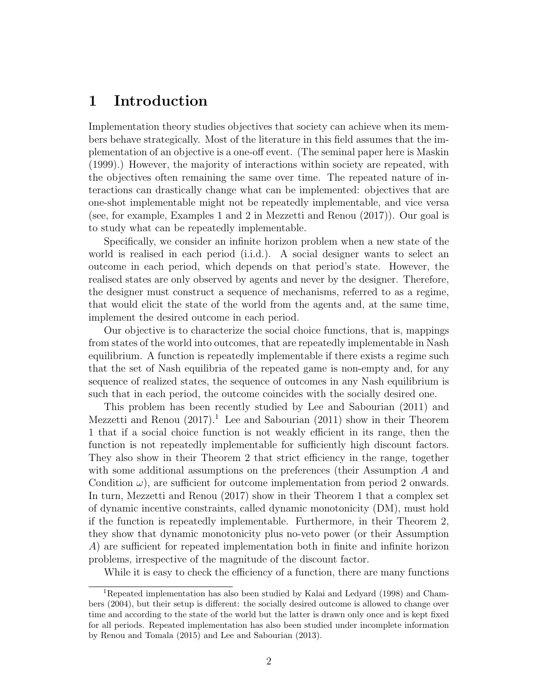# 1 Introduction

Implementation theory studies objectives that society can achieve when its members behave strategically. Most of the literature in this field assumes that the implementation of an objective is a one-off event. (The seminal paper here is Maskin (1999).) However, the majority of interactions within society are repeated, with the objectives often remaining the same over time. The repeated nature of interactions can drastically change what can be implemented: objectives that are one-shot implementable might not be repeatedly implementable, and vice versa (see, for example, Examples 1 and 2 in Mezzetti and Renou (2017)). Our goal is to study what can be repeatedly implementable.

Specifically, we consider an infinite horizon problem when a new state of the world is realised in each period (i.i.d.). A social designer wants to select an outcome in each period, which depends on that period's state. However, the realised states are only observed by agents and never by the designer. Therefore, the designer must construct a sequence of mechanisms, referred to as a regime, that would elicit the state of the world from the agents and, at the same time, implement the desired outcome in each period.

Our objective is to characterize the social choice functions, that is, mappings from states of the world into outcomes, that are repeatedly implementable in Nash equilibrium. A function is repeatedly implementable if there exists a regime such that the set of Nash equilibria of the repeated game is non-empty and, for any sequence of realized states, the sequence of outcomes in any Nash equilibrium is such that in each period, the outcome coincides with the socially desired one.

This problem has been recently studied by Lee and Sabourian (2011) and Mezzetti and Renou  $(2017)^{1}$  Lee and Sabourian  $(2011)$  show in their Theorem 1 that if a social choice function is not weakly efficient in its range, then the function is not repeatedly implementable for sufficiently high discount factors. They also show in their Theorem 2 that strict efficiency in the range, together with some additional assumptions on the preferences (their Assumption A and Condition  $\omega$ ), are sufficient for outcome implementation from period 2 onwards. In turn, Mezzetti and Renou (2017) show in their Theorem 1 that a complex set of dynamic incentive constraints, called dynamic monotonicity (DM), must hold if the function is repeatedly implementable. Furthermore, in their Theorem 2, they show that dynamic monotonicity plus no-veto power (or their Assumption A) are sufficient for repeated implementation both in finite and infinite horizon problems, irrespective of the magnitude of the discount factor.

While it is easy to check the efficiency of a function, there are many functions

<sup>1</sup>Repeated implementation has also been studied by Kalai and Ledyard (1998) and Chambers (2004), but their setup is different: the socially desired outcome is allowed to change over time and according to the state of the world but the latter is drawn only once and is kept fixed for all periods. Repeated implementation has also been studied under incomplete information by Renou and Tomala (2015) and Lee and Sabourian (2013).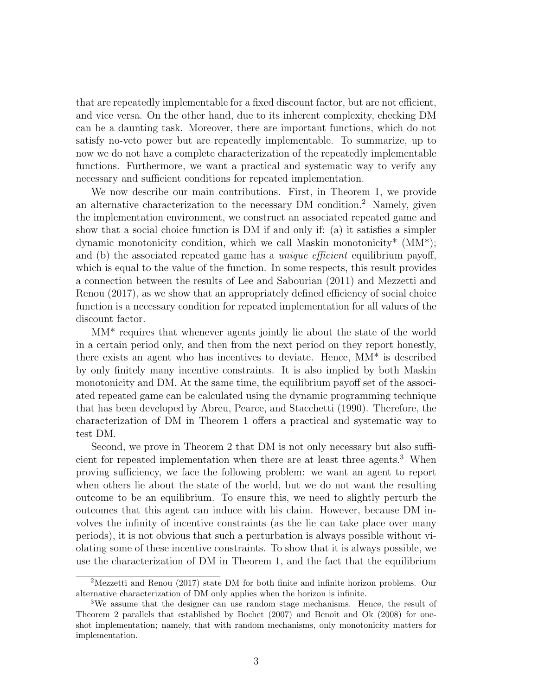that are repeatedly implementable for a fixed discount factor, but are not efficient, and vice versa. On the other hand, due to its inherent complexity, checking DM can be a daunting task. Moreover, there are important functions, which do not satisfy no-veto power but are repeatedly implementable. To summarize, up to now we do not have a complete characterization of the repeatedly implementable functions. Furthermore, we want a practical and systematic way to verify any necessary and sufficient conditions for repeated implementation.

We now describe our main contributions. First, in Theorem 1, we provide an alternative characterization to the necessary DM condition.<sup>2</sup> Namely, given the implementation environment, we construct an associated repeated game and show that a social choice function is DM if and only if: (a) it satisfies a simpler dynamic monotonicity condition, which we call Maskin monotonicity<sup>\*</sup>  $(MM^*)$ ; and (b) the associated repeated game has a unique efficient equilibrium payoff, which is equal to the value of the function. In some respects, this result provides a connection between the results of Lee and Sabourian (2011) and Mezzetti and Renou (2017), as we show that an appropriately defined efficiency of social choice function is a necessary condition for repeated implementation for all values of the discount factor.

MM\* requires that whenever agents jointly lie about the state of the world in a certain period only, and then from the next period on they report honestly, there exists an agent who has incentives to deviate. Hence, MM\* is described by only finitely many incentive constraints. It is also implied by both Maskin monotonicity and DM. At the same time, the equilibrium payoff set of the associated repeated game can be calculated using the dynamic programming technique that has been developed by Abreu, Pearce, and Stacchetti (1990). Therefore, the characterization of DM in Theorem 1 offers a practical and systematic way to test DM.

Second, we prove in Theorem 2 that DM is not only necessary but also sufficient for repeated implementation when there are at least three agents.<sup>3</sup> When proving sufficiency, we face the following problem: we want an agent to report when others lie about the state of the world, but we do not want the resulting outcome to be an equilibrium. To ensure this, we need to slightly perturb the outcomes that this agent can induce with his claim. However, because DM involves the infinity of incentive constraints (as the lie can take place over many periods), it is not obvious that such a perturbation is always possible without violating some of these incentive constraints. To show that it is always possible, we use the characterization of DM in Theorem 1, and the fact that the equilibrium

<sup>2</sup>Mezzetti and Renou (2017) state DM for both finite and infinite horizon problems. Our alternative characterization of DM only applies when the horizon is infinite.

<sup>3</sup>We assume that the designer can use random stage mechanisms. Hence, the result of Theorem 2 parallels that established by Bochet  $(2007)$  and Benoît and Ok  $(2008)$  for oneshot implementation; namely, that with random mechanisms, only monotonicity matters for implementation.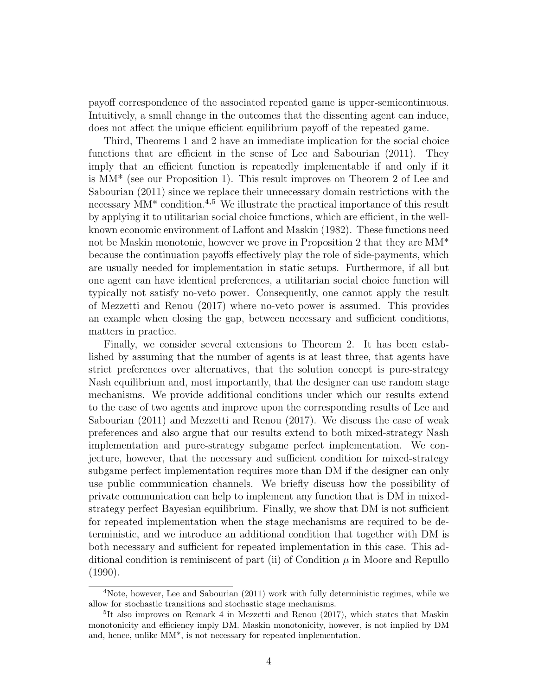payoff correspondence of the associated repeated game is upper-semicontinuous. Intuitively, a small change in the outcomes that the dissenting agent can induce, does not affect the unique efficient equilibrium payoff of the repeated game.

Third, Theorems 1 and 2 have an immediate implication for the social choice functions that are efficient in the sense of Lee and Sabourian (2011). They imply that an efficient function is repeatedly implementable if and only if it is MM\* (see our Proposition 1). This result improves on Theorem 2 of Lee and Sabourian (2011) since we replace their unnecessary domain restrictions with the necessary  $MM^*$  condition.<sup>4,5</sup> We illustrate the practical importance of this result by applying it to utilitarian social choice functions, which are efficient, in the wellknown economic environment of Laffont and Maskin (1982). These functions need not be Maskin monotonic, however we prove in Proposition 2 that they are MM\* because the continuation payoffs effectively play the role of side-payments, which are usually needed for implementation in static setups. Furthermore, if all but one agent can have identical preferences, a utilitarian social choice function will typically not satisfy no-veto power. Consequently, one cannot apply the result of Mezzetti and Renou (2017) where no-veto power is assumed. This provides an example when closing the gap, between necessary and sufficient conditions, matters in practice.

Finally, we consider several extensions to Theorem 2. It has been established by assuming that the number of agents is at least three, that agents have strict preferences over alternatives, that the solution concept is pure-strategy Nash equilibrium and, most importantly, that the designer can use random stage mechanisms. We provide additional conditions under which our results extend to the case of two agents and improve upon the corresponding results of Lee and Sabourian (2011) and Mezzetti and Renou (2017). We discuss the case of weak preferences and also argue that our results extend to both mixed-strategy Nash implementation and pure-strategy subgame perfect implementation. We conjecture, however, that the necessary and sufficient condition for mixed-strategy subgame perfect implementation requires more than DM if the designer can only use public communication channels. We briefly discuss how the possibility of private communication can help to implement any function that is DM in mixedstrategy perfect Bayesian equilibrium. Finally, we show that DM is not sufficient for repeated implementation when the stage mechanisms are required to be deterministic, and we introduce an additional condition that together with DM is both necessary and sufficient for repeated implementation in this case. This additional condition is reminiscent of part (ii) of Condition  $\mu$  in Moore and Repullo (1990).

<sup>4</sup>Note, however, Lee and Sabourian (2011) work with fully deterministic regimes, while we allow for stochastic transitions and stochastic stage mechanisms.

<sup>5</sup> It also improves on Remark 4 in Mezzetti and Renou (2017), which states that Maskin monotonicity and efficiency imply DM. Maskin monotonicity, however, is not implied by DM and, hence, unlike MM\*, is not necessary for repeated implementation.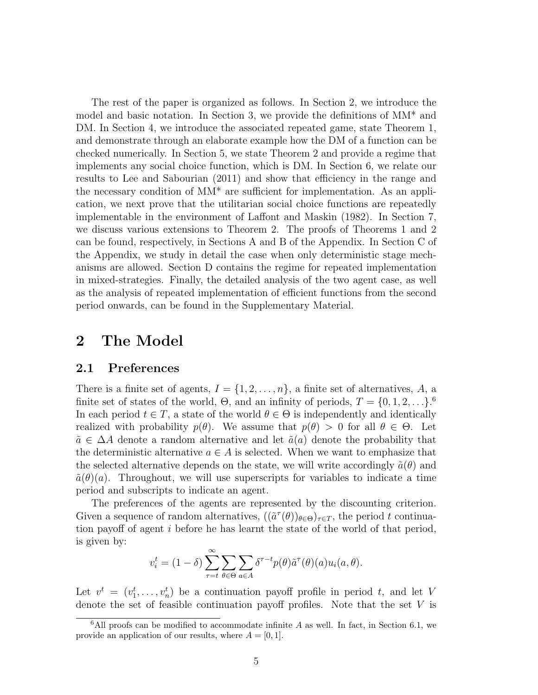The rest of the paper is organized as follows. In Section 2, we introduce the model and basic notation. In Section 3, we provide the definitions of MM\* and DM. In Section 4, we introduce the associated repeated game, state Theorem 1, and demonstrate through an elaborate example how the DM of a function can be checked numerically. In Section 5, we state Theorem 2 and provide a regime that implements any social choice function, which is DM. In Section 6, we relate our results to Lee and Sabourian (2011) and show that efficiency in the range and the necessary condition of MM\* are sufficient for implementation. As an application, we next prove that the utilitarian social choice functions are repeatedly implementable in the environment of Laffont and Maskin (1982). In Section 7, we discuss various extensions to Theorem 2. The proofs of Theorems 1 and 2 can be found, respectively, in Sections A and B of the Appendix. In Section C of the Appendix, we study in detail the case when only deterministic stage mechanisms are allowed. Section D contains the regime for repeated implementation in mixed-strategies. Finally, the detailed analysis of the two agent case, as well as the analysis of repeated implementation of efficient functions from the second period onwards, can be found in the Supplementary Material.

# 2 The Model

### 2.1 Preferences

There is a finite set of agents,  $I = \{1, 2, \ldots, n\}$ , a finite set of alternatives, A, a finite set of states of the world,  $\Theta$ , and an infinity of periods,  $T = \{0, 1, 2, \ldots\}$ . In each period  $t \in T$ , a state of the world  $\theta \in \Theta$  is independently and identically realized with probability  $p(\theta)$ . We assume that  $p(\theta) > 0$  for all  $\theta \in \Theta$ . Let  $\tilde{a} \in \Delta A$  denote a random alternative and let  $\tilde{a}(a)$  denote the probability that the deterministic alternative  $a \in A$  is selected. When we want to emphasize that the selected alternative depends on the state, we will write accordingly  $\tilde{a}(\theta)$  and  $\tilde{a}(\theta)(a)$ . Throughout, we will use superscripts for variables to indicate a time period and subscripts to indicate an agent.

The preferences of the agents are represented by the discounting criterion. Given a sequence of random alternatives,  $((\tilde{a}^{\tau}(\theta))_{\theta \in \Theta})_{\tau \in T}$ , the period t continuation payoff of agent i before he has learnt the state of the world of that period, is given by:

$$
v_i^t = (1 - \delta) \sum_{\tau = t}^{\infty} \sum_{\theta \in \Theta} \sum_{a \in A} \delta^{\tau - t} p(\theta) \tilde{a}^{\tau}(\theta)(a) u_i(a, \theta).
$$

Let  $v^t = (v_1^t, \ldots, v_n^t)$  be a continuation payoff profile in period t, and let V denote the set of feasible continuation payoff profiles. Note that the set  $V$  is

 $6$ All proofs can be modified to accommodate infinite A as well. In fact, in Section 6.1, we provide an application of our results, where  $A = [0, 1]$ .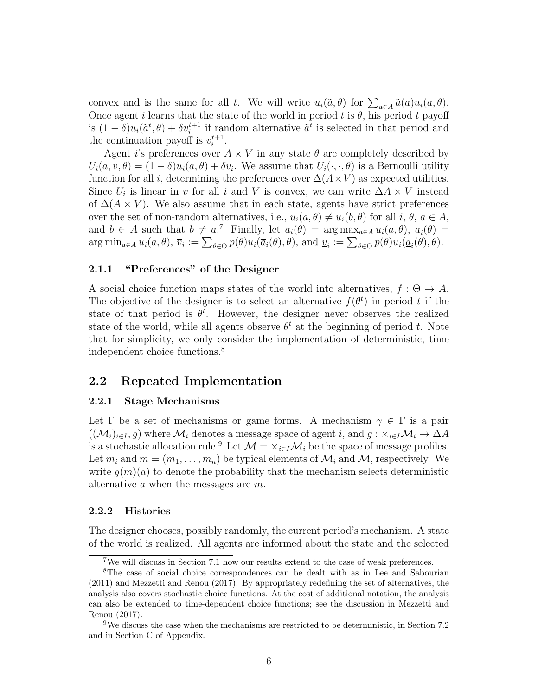convex and is the same for all t. We will write  $u_i(\tilde{a}, \theta)$  for  $\sum_{a \in A} \tilde{a}(a) u_i(a, \theta)$ . Once agent i learns that the state of the world in period t is  $\theta$ , his period t payoff is  $(1 - \delta)u_i(\tilde{a}^t, \theta) + \delta v_i^{t+1}$  if random alternative  $\tilde{a}^t$  is selected in that period and the continuation payoff is  $v_i^{t+1}$ .

Agent i's preferences over  $A \times V$  in any state  $\theta$  are completely described by  $U_i(a, v, \theta) = (1 - \delta)u_i(a, \theta) + \delta v_i$ . We assume that  $U_i(\cdot, \cdot, \theta)$  is a Bernoulli utility function for all i, determining the preferences over  $\Delta(A\times V)$  as expected utilities. Since  $U_i$  is linear in v for all i and V is convex, we can write  $\Delta A \times V$  instead of  $\Delta(A \times V)$ . We also assume that in each state, agents have strict preferences over the set of non-random alternatives, i.e.,  $u_i(a, \theta) \neq u_i(b, \theta)$  for all  $i, \theta, a \in A$ , and  $b \in A$  such that  $b \neq a$ <sup>7</sup>. Finally, let  $\overline{a}_i(\theta) = \arg \max_{a \in A} u_i(a, \theta)$ ,  $\underline{a}_i(\theta) =$  $\arg \min_{a \in A} u_i(a, \theta), \overline{v}_i := \sum_{\theta \in \Theta} p(\theta) u_i(\overline{a}_i(\theta), \theta), \text{ and } \underline{v}_i := \sum_{\theta \in \Theta} p(\theta) u_i(\underline{a}_i(\theta), \theta).$ 

### 2.1.1 "Preferences" of the Designer

A social choice function maps states of the world into alternatives,  $f : \Theta \to A$ . The objective of the designer is to select an alternative  $f(\theta^t)$  in period t if the state of that period is  $\theta^t$ . However, the designer never observes the realized state of the world, while all agents observe  $\theta^t$  at the beginning of period t. Note that for simplicity, we only consider the implementation of deterministic, time independent choice functions.<sup>8</sup>

### 2.2 Repeated Implementation

### 2.2.1 Stage Mechanisms

Let  $\Gamma$  be a set of mechanisms or game forms. A mechanism  $\gamma \in \Gamma$  is a pair  $((\mathcal{M}_i)_{i\in I}, g)$  where  $\mathcal{M}_i$  denotes a message space of agent i, and  $g : \times_{i\in I} \mathcal{M}_i \to \Delta A$ is a stochastic allocation rule.<sup>9</sup> Let  $\mathcal{M} = \times_{i \in I} \mathcal{M}_i$  be the space of message profiles. Let  $m_i$  and  $m = (m_1, \ldots, m_n)$  be typical elements of  $\mathcal{M}_i$  and  $\mathcal{M}_i$ , respectively. We write  $g(m)(a)$  to denote the probability that the mechanism selects deterministic alternative a when the messages are m.

### 2.2.2 Histories

The designer chooses, possibly randomly, the current period's mechanism. A state of the world is realized. All agents are informed about the state and the selected

<sup>7</sup>We will discuss in Section 7.1 how our results extend to the case of weak preferences.

<sup>&</sup>lt;sup>8</sup>The case of social choice correspondences can be dealt with as in Lee and Sabourian (2011) and Mezzetti and Renou (2017). By appropriately redefining the set of alternatives, the analysis also covers stochastic choice functions. At the cost of additional notation, the analysis can also be extended to time-dependent choice functions; see the discussion in Mezzetti and Renou (2017).

<sup>9</sup>We discuss the case when the mechanisms are restricted to be deterministic, in Section 7.2 and in Section C of Appendix.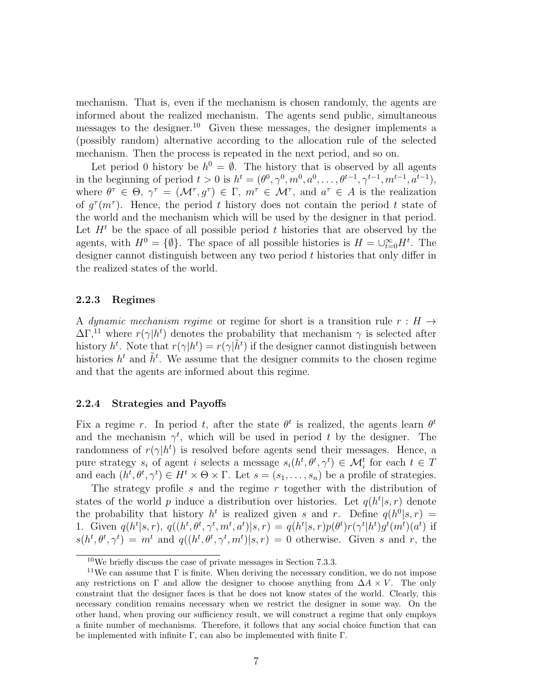mechanism. That is, even if the mechanism is chosen randomly, the agents are informed about the realized mechanism. The agents send public, simultaneous messages to the designer.<sup>10</sup> Given these messages, the designer implements a (possibly random) alternative according to the allocation rule of the selected mechanism. Then the process is repeated in the next period, and so on.

Let period 0 history be  $h^0 = \emptyset$ . The history that is observed by all agents in the beginning of period  $t > 0$  is  $h^t = (\theta^0, \gamma^0, m^0, a^0, \dots, \theta^{t-1}, \gamma^{t-1}, m^{t-1}, a^{t-1}),$ where  $\theta^{\tau} \in \Theta$ ,  $\gamma^{\tau} = (\mathcal{M}^{\tau}, g^{\tau}) \in \Gamma$ ,  $m^{\tau} \in \mathcal{M}^{\tau}$ , and  $a^{\tau} \in A$  is the realization of  $g^{\tau}(m^{\tau})$ . Hence, the period t history does not contain the period t state of the world and the mechanism which will be used by the designer in that period. Let  $H<sup>t</sup>$  be the space of all possible period t histories that are observed by the agents, with  $H^0 = \{\emptyset\}$ . The space of all possible histories is  $H = \bigcup_{t=0}^{\infty} H^t$ . The designer cannot distinguish between any two period t histories that only differ in the realized states of the world.

### 2.2.3 Regimes

A dynamic mechanism regime or regime for short is a transition rule  $r : H \rightarrow$  $\Delta\Gamma,^{11}$  where  $r(\gamma|h^t)$  denotes the probability that mechanism  $\gamma$  is selected after history h<sup>t</sup>. Note that  $r(\gamma|h^t) = r(\gamma|h^t)$  if the designer cannot distinguish between histories  $h^t$  and  $\tilde{h}^t$ . We assume that the designer commits to the chosen regime and that the agents are informed about this regime.

### 2.2.4 Strategies and Payoffs

Fix a regime r. In period t, after the state  $\theta^t$  is realized, the agents learn  $\theta^t$ and the mechanism  $\gamma^t$ , which will be used in period t by the designer. The randomness of  $r(\gamma|h^t)$  is resolved before agents send their messages. Hence, a pure strategy  $s_i$  of agent i selects a message  $s_i(h^t, \theta^t, \gamma^t) \in \mathcal{M}_i^t$  for each  $t \in T$ and each  $(h^t, \theta^t, \gamma^t) \in H^t \times \Theta \times \Gamma$ . Let  $s = (s_1, \ldots, s_n)$  be a profile of strategies.

The strategy profile  $s$  and the regime  $r$  together with the distribution of states of the world p induce a distribution over histories. Let  $q(h^t|s,r)$  denote the probability that history  $h^t$  is realized given s and r. Define  $q(h^0|s,r)$  = 1. Given  $q(h^t|s,r)$ ,  $q((h^t, \theta^t, \gamma^t, m^t, a^t)|s,r) = q(h^t|s,r)p(\theta^t)r(\gamma^t|h^t)g^t(m^t)(a^t)$  if  $s(h^t, \theta^t, \gamma^t) = m^t$  and  $q((h^t, \theta^t, \gamma^t, m^t)|s, r) = 0$  otherwise. Given s and r, the

 $10$ We briefly discuss the case of private messages in Section 7.3.3.

<sup>&</sup>lt;sup>11</sup>We can assume that  $\Gamma$  is finite. When deriving the necessary condition, we do not impose any restrictions on  $\Gamma$  and allow the designer to choose anything from  $\Delta A \times V$ . The only constraint that the designer faces is that he does not know states of the world. Clearly, this necessary condition remains necessary when we restrict the designer in some way. On the other hand, when proving our sufficiency result, we will construct a regime that only employs a finite number of mechanisms. Therefore, it follows that any social choice function that can be implemented with infinite  $\Gamma$ , can also be implemented with finite  $\Gamma$ .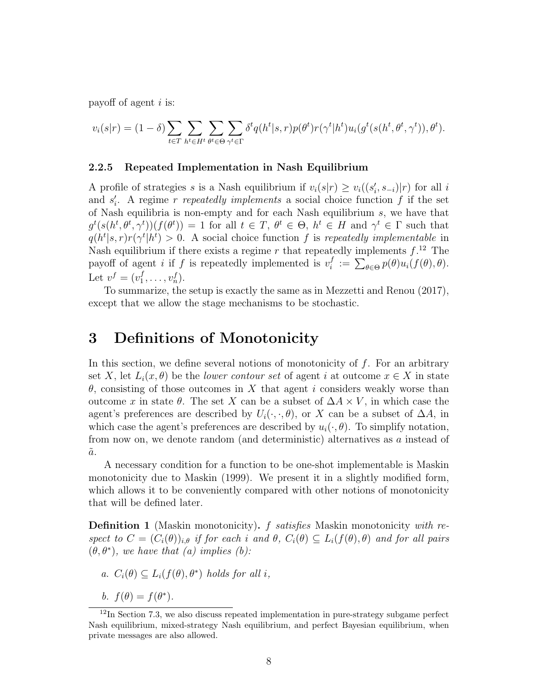payoff of agent  $i$  is:

$$
v_i(s|r) = (1-\delta) \sum_{t \in T} \sum_{h^t \in H^t} \sum_{\theta^t \in \Theta} \sum_{\gamma^t \in \Gamma} \delta^t q(h^t|s,r) p(\theta^t) r(\gamma^t|h^t) u_i(g^t(s(h^t, \theta^t, \gamma^t)), \theta^t).
$$

#### 2.2.5 Repeated Implementation in Nash Equilibrium

A profile of strategies s is a Nash equilibrium if  $v_i(s|r) \ge v_i((s'_i, s_{-i})|r)$  for all i and  $s'_{i}$ . A regime r repeatedly implements a social choice function f if the set of Nash equilibria is non-empty and for each Nash equilibrium s, we have that  $g^t(s(h^t, \theta^t, \gamma^t))(f(\theta^t)) = 1$  for all  $t \in T$ ,  $\theta^t \in \Theta$ ,  $h^t \in H$  and  $\gamma^t \in \Gamma$  such that  $q(h^t|s, r)r(\gamma^t|h^t) > 0$ . A social choice function f is repeatedly implementable in Nash equilibrium if there exists a regime r that repeatedly implements  $f^{12}$ . The payoff of agent *i* if f is repeatedly implemented is  $v_i^f$  $i_i^J := \sum_{\theta \in \Theta} p(\theta) u_i(f(\theta), \theta).$ Let  $v^f = (v_1^f)$  $j_1,\ldots, j_n$ .

To summarize, the setup is exactly the same as in Mezzetti and Renou (2017), except that we allow the stage mechanisms to be stochastic.

## 3 Definitions of Monotonicity

In this section, we define several notions of monotonicity of  $f$ . For an arbitrary set X, let  $L_i(x, \theta)$  be the *lower contour set* of agent i at outcome  $x \in X$  in state  $\theta$ , consisting of those outcomes in X that agent i considers weakly worse than outcome x in state  $\theta$ . The set X can be a subset of  $\Delta A \times V$ , in which case the agent's preferences are described by  $U_i(\cdot, \cdot, \theta)$ , or X can be a subset of  $\Delta A$ , in which case the agent's preferences are described by  $u_i(\cdot, \theta)$ . To simplify notation, from now on, we denote random (and deterministic) alternatives as a instead of  $\tilde{a}$ .

A necessary condition for a function to be one-shot implementable is Maskin monotonicity due to Maskin (1999). We present it in a slightly modified form, which allows it to be conveniently compared with other notions of monotonicity that will be defined later.

**Definition 1** (Maskin monotonicity). f satisfies Maskin monotonicity with respect to  $C = (C_i(\theta))_{i,\theta}$  if for each i and  $\theta$ ,  $C_i(\theta) \subseteq L_i(f(\theta), \theta)$  and for all pairs  $(\theta, \theta^*)$ , we have that (a) implies (b):

- a.  $C_i(\theta) \subseteq L_i(f(\theta), \theta^*)$  holds for all i,
- b.  $f(\theta) = f(\theta^*).$

 $12$ In Section 7.3, we also discuss repeated implementation in pure-strategy subgame perfect Nash equilibrium, mixed-strategy Nash equilibrium, and perfect Bayesian equilibrium, when private messages are also allowed.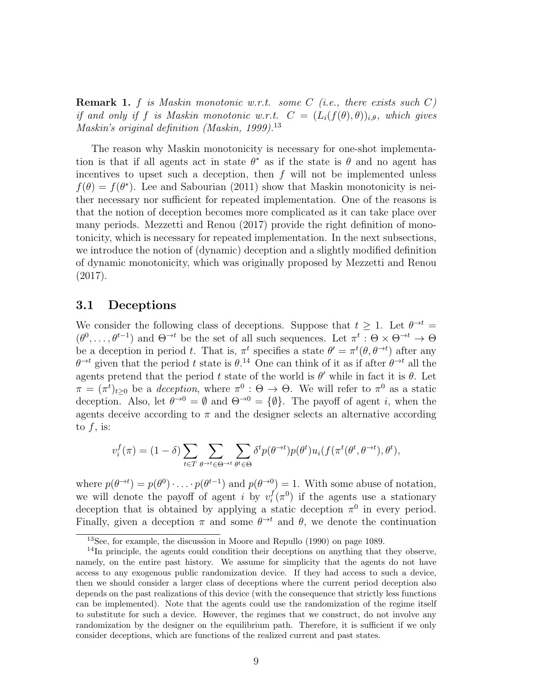**Remark 1.** f is Maskin monotonic w.r.t. some  $C$  (i.e., there exists such  $C$ ) if and only if f is Maskin monotonic w.r.t.  $C = (L_i(f(\theta), \theta))_{i,\theta}$ , which gives Maskin's original definition (Maskin, 1999).<sup>13</sup>

The reason why Maskin monotonicity is necessary for one-shot implementation is that if all agents act in state  $\theta^*$  as if the state is  $\theta$  and no agent has incentives to upset such a deception, then  $f$  will not be implemented unless  $f(\theta) = f(\theta^*)$ . Lee and Sabourian (2011) show that Maskin monotonicity is neither necessary nor sufficient for repeated implementation. One of the reasons is that the notion of deception becomes more complicated as it can take place over many periods. Mezzetti and Renou (2017) provide the right definition of monotonicity, which is necessary for repeated implementation. In the next subsections, we introduce the notion of (dynamic) deception and a slightly modified definition of dynamic monotonicity, which was originally proposed by Mezzetti and Renou (2017).

### 3.1 Deceptions

We consider the following class of deceptions. Suppose that  $t \geq 1$ . Let  $\theta^{-t} =$  $(\theta^0,\ldots,\theta^{t-1})$  and  $\Theta^{\to t}$  be the set of all such sequences. Let  $\pi^t:\Theta\times\Theta^{\to t}\to\Theta$ be a deception in period t. That is,  $\pi^t$  specifies a state  $\theta' = \pi^t(\theta, \theta^{\to t})$  after any  $\theta^{-t}$  given that the period t state is  $\theta$ .<sup>14</sup> One can think of it as if after  $\theta^{-t}$  all the agents pretend that the period t state of the world is  $\theta'$  while in fact it is  $\theta$ . Let  $\pi = (\pi^t)_{t \geq 0}$  be a *deception*, where  $\pi^0 : \Theta \to \Theta$ . We will refer to  $\pi^0$  as a static deception. Also, let  $\theta^{-0} = \emptyset$  and  $\Theta^{-0} = {\emptyset}$ . The payoff of agent *i*, when the agents deceive according to  $\pi$  and the designer selects an alternative according to  $f$ , is:

$$
v_i^f(\pi) = (1-\delta) \sum_{t \in T} \sum_{\theta^{\rightarrow t} \in \Theta^{\rightarrow t}} \sum_{\theta^t \in \Theta} \delta^t p(\theta^{\rightarrow t}) p(\theta^t) u_i(f(\pi^t(\theta^t, \theta^{\rightarrow t}), \theta^t),
$$

where  $p(\theta^{\to t}) = p(\theta^0) \cdot \ldots \cdot p(\theta^{t-1})$  and  $p(\theta^{\to 0}) = 1$ . With some abuse of notation, we will denote the payoff of agent i by  $v_i^f$  $i(\pi^0)$  if the agents use a stationary deception that is obtained by applying a static deception  $\pi^0$  in every period. Finally, given a deception  $\pi$  and some  $\theta^{-t}$  and  $\theta$ , we denote the continuation

<sup>13</sup>See, for example, the discussion in Moore and Repullo (1990) on page 1089.

<sup>&</sup>lt;sup>14</sup>In principle, the agents could condition their deceptions on anything that they observe, namely, on the entire past history. We assume for simplicity that the agents do not have access to any exogenous public randomization device. If they had access to such a device, then we should consider a larger class of deceptions where the current period deception also depends on the past realizations of this device (with the consequence that strictly less functions can be implemented). Note that the agents could use the randomization of the regime itself to substitute for such a device. However, the regimes that we construct, do not involve any randomization by the designer on the equilibrium path. Therefore, it is sufficient if we only consider deceptions, which are functions of the realized current and past states.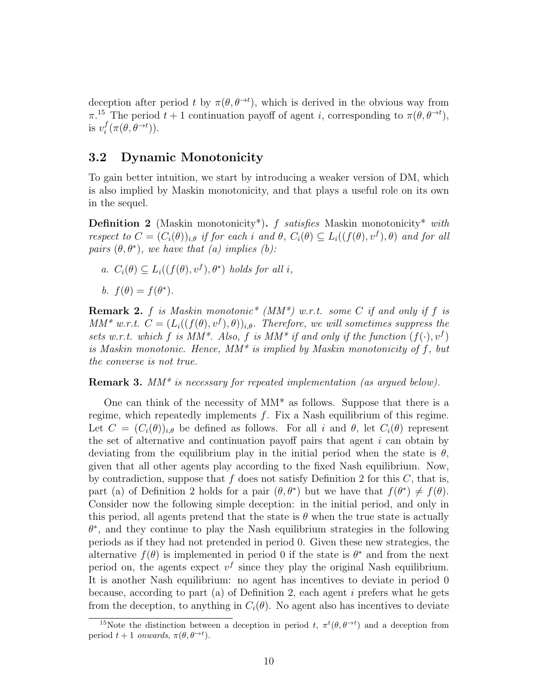deception after period t by  $\pi(\theta, \theta^{\to t})$ , which is derived in the obvious way from  $\pi$ .<sup>15</sup> The period  $t + 1$  continuation payoff of agent *i*, corresponding to  $\pi(\theta, \theta^{\to t})$ , is  $v_i^f$  $i^f(\pi(\theta, \theta^{\rightarrow t}))$ .

### 3.2 Dynamic Monotonicity

To gain better intuition, we start by introducing a weaker version of DM, which is also implied by Maskin monotonicity, and that plays a useful role on its own in the sequel.

**Definition 2** (Maskin monotonicity\*). f satisfies Maskin monotonicity\* with respect to  $C = (C_i(\theta))_{i,\theta}$  if for each i and  $\theta$ ,  $C_i(\theta) \subseteq L_i((f(\theta), v^f), \theta)$  and for all pairs  $(\theta, \theta^*)$ , we have that (a) implies (b):

- a.  $C_i(\theta) \subseteq L_i((f(\theta), v^f), \theta^*)$  holds for all i,
- b.  $f(\theta) = f(\theta^*).$

**Remark 2.** f is Maskin monotonic\*  $(MM^*)$  w.r.t. some C if and only if f is  $MM^*$  w.r.t.  $C = (L_i((f(\theta), v^f), \theta))_{i,\theta}$ . Therefore, we will sometimes suppress the sets w.r.t. which f is MM<sup>\*</sup>. Also, f is MM<sup>\*</sup> if and only if the function  $(f(\cdot), v^f)$ is Maskin monotonic. Hence,  $MM^*$  is implied by Maskin monotonicity of f, but the converse is not true.

Remark 3. MM<sup>\*</sup> is necessary for repeated implementation (as argued below).

One can think of the necessity of  $MM^*$  as follows. Suppose that there is a regime, which repeatedly implements  $f$ . Fix a Nash equilibrium of this regime. Let  $C = (C_i(\theta))_{i,\theta}$  be defined as follows. For all i and  $\theta$ , let  $C_i(\theta)$  represent the set of alternative and continuation payoff pairs that agent  $i$  can obtain by deviating from the equilibrium play in the initial period when the state is  $\theta$ , given that all other agents play according to the fixed Nash equilibrium. Now, by contradiction, suppose that f does not satisfy Definition 2 for this  $C$ , that is, part (a) of Definition 2 holds for a pair  $(\theta, \theta^*)$  but we have that  $f(\theta^*) \neq f(\theta)$ . Consider now the following simple deception: in the initial period, and only in this period, all agents pretend that the state is  $\theta$  when the true state is actually  $\theta^*$ , and they continue to play the Nash equilibrium strategies in the following periods as if they had not pretended in period 0. Given these new strategies, the alternative  $f(\theta)$  is implemented in period 0 if the state is  $\theta^*$  and from the next period on, the agents expect  $v<sup>f</sup>$  since they play the original Nash equilibrium. It is another Nash equilibrium: no agent has incentives to deviate in period 0 because, according to part (a) of Definition 2, each agent  $i$  prefers what he gets from the deception, to anything in  $C_i(\theta)$ . No agent also has incentives to deviate

<sup>&</sup>lt;sup>15</sup>Note the distinction between a deception in period t,  $\pi^t(\theta, \theta^{\to t})$  and a deception from period  $t + 1$  onwards,  $\pi(\theta, \theta^{\rightarrow t})$ .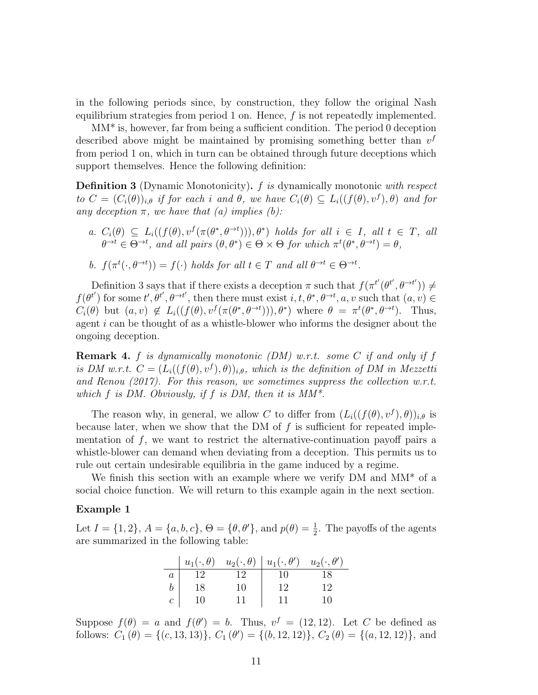in the following periods since, by construction, they follow the original Nash equilibrium strategies from period 1 on. Hence,  $f$  is not repeatedly implemented.

MM\* is, however, far from being a sufficient condition. The period 0 deception described above might be maintained by promising something better than  $v<sup>f</sup>$ from period 1 on, which in turn can be obtained through future deceptions which support themselves. Hence the following definition:

**Definition 3** (Dynamic Monotonicity). f is dynamically monotonic with respect to  $C = (C_i(\theta))_{i,\theta}$  if for each i and  $\theta$ , we have  $C_i(\theta) \subseteq L_i((f(\theta), v^f), \theta)$  and for any deception  $\pi$ , we have that (a) implies (b):

a.  $C_i(\theta) \subseteq L_i((f(\theta), v^f(\pi(\theta^*, \theta^{-t}))), \theta^*)$  holds for all  $i \in I$ , all  $t \in T$ , all  $\theta^{-t} \in \Theta^{-t}$ , and all pairs  $(\theta, \theta^*) \in \Theta \times \Theta$  for which  $\pi^t(\theta^*, \theta^{-t}) = \theta$ ,

b. 
$$
f(\pi^t(\cdot,\theta^{\to t})) = f(\cdot)
$$
 holds for all  $t \in T$  and all  $\theta^{\to t} \in \Theta^{\to t}$ .

Definition 3 says that if there exists a deception  $\pi$  such that  $f(\pi^{t'}(\theta^{t'}, \theta^{\to t'})) \neq$  $f(\theta^{t'})$  for some  $t', \theta^{t'}, \theta^{\rightarrow t'}$ , then there must exist  $i, t, \theta^*, \theta^{\rightarrow t}$ ,  $a, v$  such that  $(a, v) \in$  $C_i(\theta)$  but  $(a, v) \notin L_i((f(\theta), v^f(\pi(\theta^*, \theta^{-t}))), \theta^*)$  where  $\theta = \pi^t(\theta^*, \theta^{-t}).$  Thus, agent  $i$  can be thought of as a whistle-blower who informs the designer about the ongoing deception.

**Remark 4.** f is dynamically monotonic  $(DM)$  w.r.t. some C if and only if f is DM w.r.t.  $C = (L_i((f(\theta), v^f), \theta))_{i,\theta}$ , which is the definition of DM in Mezzetti and Renou (2017). For this reason, we sometimes suppress the collection w.r.t. which f is DM. Obviously, if f is DM, then it is  $MM^*$ .

The reason why, in general, we allow C to differ from  $(L_i((f(\theta), v^f), \theta))_{i,\theta}$  is because later, when we show that the DM of  $f$  is sufficient for repeated implementation of  $f$ , we want to restrict the alternative-continuation payoff pairs a whistle-blower can demand when deviating from a deception. This permits us to rule out certain undesirable equilibria in the game induced by a regime.

We finish this section with an example where we verify  $DM$  and  $MM^*$  of a social choice function. We will return to this example again in the next section.

### Example 1

Let  $I = \{1, 2\}, A = \{a, b, c\}, \Theta = \{\theta, \theta'\}, \text{ and } p(\theta) = \frac{1}{2}.$  The payoffs of the agents are summarized in the following table:

|         |    |    | $u_1(\cdot,\theta) \quad u_2(\cdot,\theta) \mid u_1(\cdot,\theta')$ | $u_2(\cdot, \theta')$ |
|---------|----|----|---------------------------------------------------------------------|-----------------------|
| $\it a$ |    |    | 10                                                                  |                       |
|         | 18 | 10 |                                                                     | 19                    |
|         | 10 |    |                                                                     |                       |

Suppose  $f(\theta) = a$  and  $f(\theta') = b$ . Thus,  $v^f = (12, 12)$ . Let C be defined as follows:  $C_1(\theta) = \{(c, 13, 13)\}, C_1(\theta') = \{(b, 12, 12)\}, C_2(\theta) = \{(a, 12, 12)\},\$ and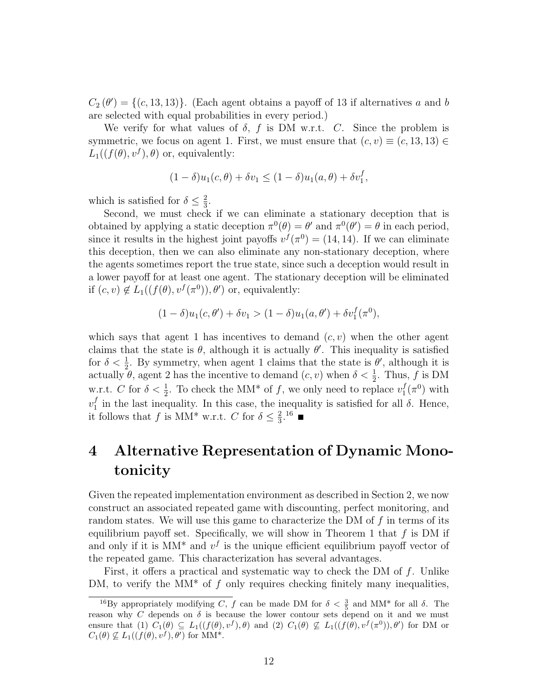$C_2(\theta') = \{(c, 13, 13)\}\.$  (Each agent obtains a payoff of 13 if alternatives a and b are selected with equal probabilities in every period.)

We verify for what values of  $\delta$ , f is DM w.r.t. C. Since the problem is symmetric, we focus on agent 1. First, we must ensure that  $(c, v) \equiv (c, 13, 13) \in$  $L_1((f(\theta), v^f), \theta)$  or, equivalently:

$$
(1 - \delta)u_1(c, \theta) + \delta v_1 \le (1 - \delta)u_1(a, \theta) + \delta v_1^f,
$$

which is satisfied for  $\delta \leq \frac{2}{3}$  $\frac{2}{3}$ .

Second, we must check if we can eliminate a stationary deception that is obtained by applying a static deception  $\pi^0(\theta) = \theta'$  and  $\pi^0(\theta') = \theta$  in each period, since it results in the highest joint payoffs  $v^f(\pi^0) = (14, 14)$ . If we can eliminate this deception, then we can also eliminate any non-stationary deception, where the agents sometimes report the true state, since such a deception would result in a lower payoff for at least one agent. The stationary deception will be eliminated if  $(c, v) \notin L_1((f(\theta), v^f(\pi^0)), \theta')$  or, equivalently:

$$
(1 - \delta)u_1(c, \theta') + \delta v_1 > (1 - \delta)u_1(a, \theta') + \delta v_1^f(\pi^0),
$$

which says that agent 1 has incentives to demand  $(c, v)$  when the other agent claims that the state is  $\theta$ , although it is actually  $\theta'$ . This inequality is satisfied for  $\delta < \frac{1}{2}$ . By symmetry, when agent 1 claims that the state is  $\theta'$ , although it is actually  $\theta$ , agent 2 has the incentive to demand  $(c, v)$  when  $\delta < \frac{1}{2}$ . Thus, f is DM w.r.t. C for  $\delta < \frac{1}{2}$ . To check the MM<sup>\*</sup> of f, we only need to replace  $v_1^f$  $j_1^f(\pi^0)$  with  $v_1^f$  $I_1$  in the last inequality. In this case, the inequality is satisfied for all  $\delta$ . Hence, it follows that f is MM<sup>\*</sup> w.r.t. C for  $\delta \leq \frac{2}{3}$  $\frac{2}{3}$ .<sup>16</sup>

# 4 Alternative Representation of Dynamic Monotonicity

Given the repeated implementation environment as described in Section 2, we now construct an associated repeated game with discounting, perfect monitoring, and random states. We will use this game to characterize the DM of  $f$  in terms of its equilibrium payoff set. Specifically, we will show in Theorem 1 that  $f$  is DM if and only if it is  $MM^*$  and  $v^f$  is the unique efficient equilibrium payoff vector of the repeated game. This characterization has several advantages.

First, it offers a practical and systematic way to check the DM of  $f$ . Unlike DM, to verify the MM<sup>\*</sup> of  $f$  only requires checking finitely many inequalities,

<sup>&</sup>lt;sup>16</sup>By appropriately modifying C, f can be made DM for  $\delta < \frac{3}{5}$  and MM<sup>\*</sup> for all  $\delta$ . The reason why C depends on  $\delta$  is because the lower contour sets depend on it and we must ensure that (1)  $C_1(\theta) \subseteq L_1((f(\theta), v^f), \theta)$  and (2)  $C_1(\theta) \nsubseteq L_1((f(\theta), v^f(\pi^0)), \theta')$  for DM or  $C_1(\theta) \nsubseteq L_1((f(\theta), v^f), \theta')$  for MM<sup>\*</sup>.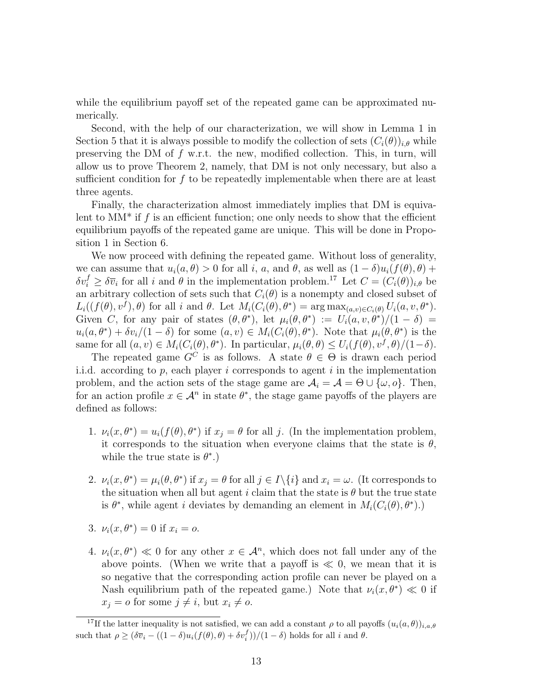while the equilibrium payoff set of the repeated game can be approximated numerically.

Second, with the help of our characterization, we will show in Lemma 1 in Section 5 that it is always possible to modify the collection of sets  $(C_i(\theta))_{i,\theta}$  while preserving the DM of f w.r.t. the new, modified collection. This, in turn, will allow us to prove Theorem 2, namely, that DM is not only necessary, but also a sufficient condition for f to be repeatedly implementable when there are at least three agents.

Finally, the characterization almost immediately implies that DM is equivalent to  $MM^*$  if f is an efficient function; one only needs to show that the efficient equilibrium payoffs of the repeated game are unique. This will be done in Proposition 1 in Section 6.

We now proceed with defining the repeated game. Without loss of generality, we can assume that  $u_i(a, \theta) > 0$  for all i, a, and  $\theta$ , as well as  $(1 - \delta)u_i(f(\theta), \theta)$  +  $\delta v_i^f \geq \delta \overline{v}_i$  for all i and  $\theta$  in the implementation problem.<sup>17</sup> Let  $C = (C_i(\theta))_{i,\theta}$  be an arbitrary collection of sets such that  $C_i(\theta)$  is a nonempty and closed subset of  $L_i((f(\theta), v^f), \theta)$  for all i and  $\theta$ . Let  $M_i(C_i(\theta), \theta^*) = \arg \max_{(a,v) \in C_i(\theta)} U_i(a, v, \theta^*)$ . Given C, for any pair of states  $(\theta, \theta^*)$ , let  $\mu_i(\theta, \theta^*) := U_i(a, v, \theta^*)/(1 - \delta) =$  $u_i(a, \theta^*) + \delta v_i/(1-\delta)$  for some  $(a, v) \in M_i(C_i(\theta), \theta^*)$ . Note that  $\mu_i(\theta, \theta^*)$  is the same for all  $(a, v) \in M_i(C_i(\theta), \theta^*)$ . In particular,  $\mu_i(\theta, \theta) \leq U_i(f(\theta), v^f, \theta)/(1-\delta)$ .

The repeated game  $G^C$  is as follows. A state  $\theta \in \Theta$  is drawn each period i.i.d. according to  $p$ , each player  $i$  corresponds to agent  $i$  in the implementation problem, and the action sets of the stage game are  $A_i = A = \Theta \cup \{\omega, \omega\}$ . Then, for an action profile  $x \in \mathcal{A}^n$  in state  $\theta^*$ , the stage game payoffs of the players are defined as follows:

- 1.  $\nu_i(x, \theta^*) = u_i(f(\theta), \theta^*)$  if  $x_j = \theta$  for all j. (In the implementation problem, it corresponds to the situation when everyone claims that the state is  $\theta$ , while the true state is  $\theta^*$ .)
- 2.  $\nu_i(x, \theta^*) = \mu_i(\theta, \theta^*)$  if  $x_j = \theta$  for all  $j \in I \setminus \{i\}$  and  $x_i = \omega$ . (It corresponds to the situation when all but agent i claim that the state is  $\theta$  but the true state is  $\theta^*$ , while agent *i* deviates by demanding an element in  $M_i(C_i(\theta), \theta^*)$ .
- 3.  $\nu_i(x, \theta^*) = 0$  if  $x_i = 0$ .
- 4.  $\nu_i(x, \theta^*) \ll 0$  for any other  $x \in \mathcal{A}^n$ , which does not fall under any of the above points. (When we write that a payoff is  $\ll 0$ , we mean that it is so negative that the corresponding action profile can never be played on a Nash equilibrium path of the repeated game.) Note that  $\nu_i(x, \theta^*) \ll 0$  if  $x_j = o$  for some  $j \neq i$ , but  $x_i \neq o$ .

<sup>&</sup>lt;sup>17</sup>If the latter inequality is not satisfied, we can add a constant  $\rho$  to all payoffs  $(u_i(a, \theta))_{i,a,\theta}$ such that  $\rho \ge (\delta \overline{v}_i - ((1 - \delta)u_i(f(\theta), \theta) + \delta v_i^f))/(1 - \delta)$  holds for all i and  $\theta$ .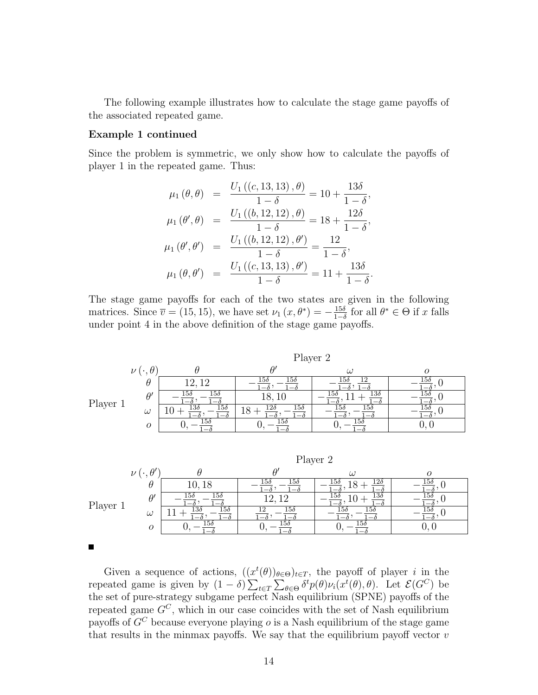The following example illustrates how to calculate the stage game payoffs of the associated repeated game.

#### Example 1 continued

Since the problem is symmetric, we only show how to calculate the payoffs of player 1 in the repeated game. Thus:

$$
\mu_1(\theta,\theta) = \frac{U_1((c,13,13),\theta)}{1-\delta} = 10 + \frac{13\delta}{1-\delta},
$$
  
\n
$$
\mu_1(\theta',\theta) = \frac{U_1((b,12,12),\theta)}{1-\delta} = 18 + \frac{12\delta}{1-\delta},
$$
  
\n
$$
\mu_1(\theta',\theta') = \frac{U_1((b,12,12),\theta')}{1-\delta} = \frac{12}{1-\delta},
$$
  
\n
$$
\mu_1(\theta,\theta') = \frac{U_1((c,13,13),\theta')}{1-\delta} = 11 + \frac{13\delta}{1-\delta}.
$$

The stage game payoffs for each of the two states are given in the following matrices. Since  $\overline{v} = (15, 15)$ , we have set  $\nu_1(x, \theta^*) = -\frac{15\delta}{1-\delta}$  $\frac{15\delta}{1-\delta}$  for all  $\theta^*$  ∈  $\Theta$  if x falls under point 4 in the above definition of the stage game payoffs.

|        |                | Player 2                                    |                                       |                                                      |                |
|--------|----------------|---------------------------------------------|---------------------------------------|------------------------------------------------------|----------------|
|        | $\nu$<br>٠     |                                             |                                       | $\omega$                                             |                |
|        | H              | റ                                           | $15\delta$<br>L5 $\delta$             | L5d                                                  | 158            |
| Player | $\theta'$      | 15ð<br>199                                  |                                       | $15\delta$<br>$\beta \delta$<br>$-\Delta$            | 5 <sub>6</sub> |
|        | $\omega$       | $15\delta$<br>$13\delta$<br>۰U<br>$-\alpha$ | $15\delta$<br>$12\delta$<br>$-\theta$ | $.5\delta$<br>$15\delta$<br>$\overline{\phantom{m}}$ | 58             |
|        | $\overline{O}$ | $15\delta$                                  | $15\delta$                            | $15\delta$                                           |                |

|        |                          | Player 2                                           |                                                |                                                      |           |
|--------|--------------------------|----------------------------------------------------|------------------------------------------------|------------------------------------------------------|-----------|
|        | $\cdot$ . $\theta'$<br>ν |                                                    |                                                | ω                                                    |           |
|        |                          |                                                    | $15\delta$<br>l 5ò<br>$\overline{\phantom{m}}$ | 15∂<br>$\overline{\phantom{0}}$                      | 158       |
| Player | $\theta'$                | $15\delta$<br>$15\delta$                           | 1 ຕ                                            | $13\delta$<br>$15\delta$<br>$\overline{\phantom{0}}$ | 158       |
|        | $\omega$                 | $15\delta$<br>$13\delta$<br>$-\Delta$<br>$-\Delta$ | $15\delta$<br>פי                               | $15\delta$<br>l5δ                                    | $5\delta$ |
|        | $\Omega$                 | 15 $\delta$                                        | !58                                            | $15\delta$                                           |           |

 $\blacksquare$ 

Given a sequence of actions,  $((x^t(\theta))_{\theta \in \Theta})_{t \in T}$ , the payoff of player *i* in the repeated game is given by  $(1 - \delta) \sum_{t \in T} \sum_{\theta \in \Theta} \delta^t p(\theta) \nu_i(x^t(\theta), \theta)$ . Let  $\mathcal{E}(G^C)$  be the set of pure-strategy subgame perfect Nash equilibrium (SPNE) payoffs of the repeated game  $G^C$ , which in our case coincides with the set of Nash equilibrium payoffs of  $G^C$  because everyone playing *o* is a Nash equilibrium of the stage game that results in the minmax payoffs. We say that the equilibrium payoff vector  $v$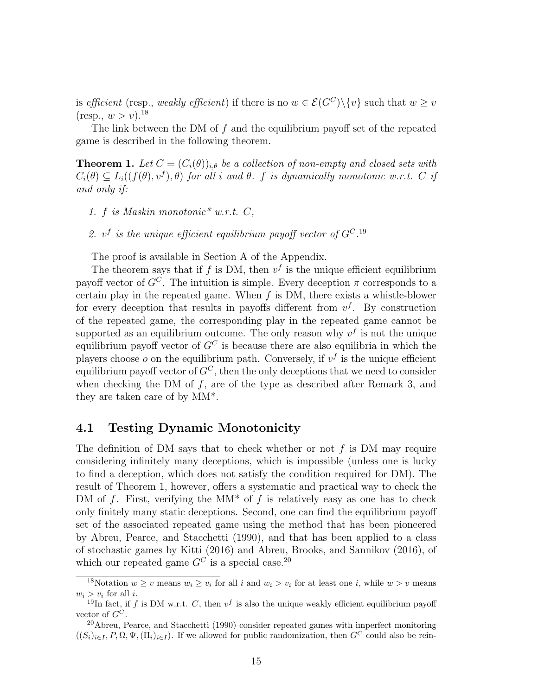is efficient (resp., weakly efficient) if there is no  $w \in \mathcal{E}(G^C) \setminus \{v\}$  such that  $w \geq v$  $({\rm resp.,}\ w > v).^{18}$ 

The link between the DM of f and the equilibrium payoff set of the repeated game is described in the following theorem.

**Theorem 1.** Let  $C = (C_i(\theta))_{i,\theta}$  be a collection of non-empty and closed sets with  $C_i(\theta) \subseteq L_i((f(\theta), v^f), \theta)$  for all i and  $\theta$ . f is dynamically monotonic w.r.t. C if and only if:

- 1. f is Maskin monotonic\* w.r.t.  $C$ ,
- 2.  $v<sup>f</sup>$  is the unique efficient equilibrium payoff vector of  $G<sup>C</sup>$ .<sup>19</sup>

The proof is available in Section A of the Appendix.

The theorem says that if f is DM, then  $v<sup>f</sup>$  is the unique efficient equilibrium payoff vector of  $G^C$ . The intuition is simple. Every deception  $\pi$  corresponds to a certain play in the repeated game. When  $f$  is DM, there exists a whistle-blower for every deception that results in payoffs different from  $v<sup>f</sup>$ . By construction of the repeated game, the corresponding play in the repeated game cannot be supported as an equilibrium outcome. The only reason why  $v<sup>f</sup>$  is not the unique equilibrium payoff vector of  $G^C$  is because there are also equilibria in which the players choose  $o$  on the equilibrium path. Conversely, if  $v<sup>f</sup>$  is the unique efficient equilibrium payoff vector of  $G^C$ , then the only deceptions that we need to consider when checking the DM of  $f$ , are of the type as described after Remark 3, and they are taken care of by MM\*.

### 4.1 Testing Dynamic Monotonicity

The definition of DM says that to check whether or not  $f$  is DM may require considering infinitely many deceptions, which is impossible (unless one is lucky to find a deception, which does not satisfy the condition required for DM). The result of Theorem 1, however, offers a systematic and practical way to check the DM of f. First, verifying the MM<sup>\*</sup> of f is relatively easy as one has to check only finitely many static deceptions. Second, one can find the equilibrium payoff set of the associated repeated game using the method that has been pioneered by Abreu, Pearce, and Stacchetti (1990), and that has been applied to a class of stochastic games by Kitti (2016) and Abreu, Brooks, and Sannikov (2016), of which our repeated game  $G^C$  is a special case.<sup>20</sup>

<sup>&</sup>lt;sup>18</sup>Notation  $w \geq v$  means  $w_i \geq v_i$  for all i and  $w_i > v_i$  for at least one i, while  $w > v$  means  $w_i > v_i$  for all *i*.

<sup>&</sup>lt;sup>19</sup>In fact, if f is DM w.r.t. C, then  $v<sup>f</sup>$  is also the unique weakly efficient equilibrium payoff vector of  $G^C$ .

 $20$ Abreu, Pearce, and Stacchetti (1990) consider repeated games with imperfect monitoring  $((S_i)_{i\in I}, P, \Omega, \Psi, (\Pi_i)_{i\in I})$ . If we allowed for public randomization, then  $G^C$  could also be rein-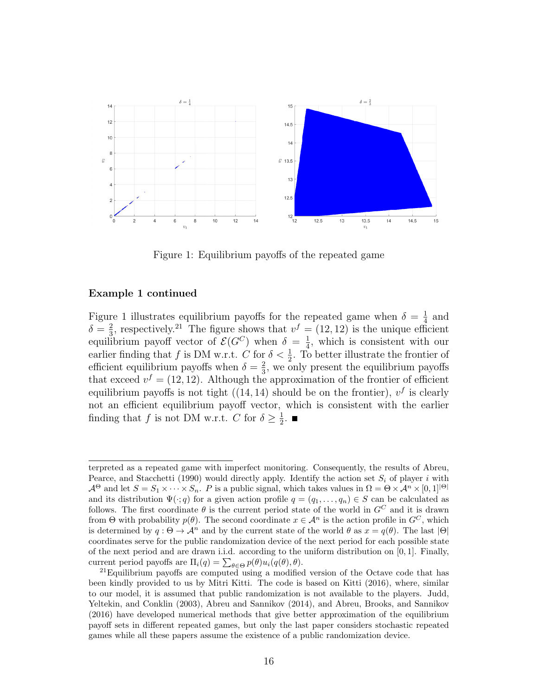

Figure 1: Equilibrium payoffs of the repeated game

#### Example 1 continued

Figure 1 illustrates equilibrium payoffs for the repeated game when  $\delta = \frac{1}{4}$  $\frac{1}{4}$  and  $\delta = \frac{2}{3}$  $\frac{2}{3}$ , respectively.<sup>21</sup> The figure shows that  $v^f = (12, 12)$  is the unique efficient equilibrium payoff vector of  $\mathcal{E}(G^C)$  when  $\delta = \frac{1}{4}$  $\frac{1}{4}$ , which is consistent with our earlier finding that f is DM w.r.t. C for  $\delta < \frac{1}{2}$ . To better illustrate the frontier of efficient equilibrium payoffs when  $\delta = \frac{2}{3}$  $\frac{2}{3}$ , we only present the equilibrium payoffs that exceed  $v^f = (12, 12)$ . Although the approximation of the frontier of efficient equilibrium payoffs is not tight  $((14, 14)$  should be on the frontier),  $v<sup>f</sup>$  is clearly not an efficient equilibrium payoff vector, which is consistent with the earlier finding that f is not DM w.r.t. C for  $\delta \geq \frac{1}{2}$  $rac{1}{2}$ .

terpreted as a repeated game with imperfect monitoring. Consequently, the results of Abreu, Pearce, and Stacchetti (1990) would directly apply. Identify the action set  $S_i$  of player i with  $\mathcal{A}^{\Theta}$  and let  $S = S_1 \times \cdots \times S_n$ . P is a public signal, which takes values in  $\Omega = \Theta \times \mathcal{A}^n \times [0,1]^{|\Theta|}$ and its distribution  $\Psi(\cdot; q)$  for a given action profile  $q = (q_1, \ldots, q_n) \in S$  can be calculated as follows. The first coordinate  $\theta$  is the current period state of the world in  $G^C$  and it is drawn from Θ with probability  $p(\theta)$ . The second coordinate  $x \in A^n$  is the action profile in  $G^C$ , which is determined by  $q : \Theta \to \mathcal{A}^n$  and by the current state of the world  $\theta$  as  $x = q(\theta)$ . The last  $|\Theta|$ coordinates serve for the public randomization device of the next period for each possible state of the next period and are drawn i.i.d. according to the uniform distribution on [0, 1]. Finally, current period payoffs are  $\Pi_i(q) = \sum_{\theta \in \Theta} p(\theta) u_i(q(\theta), \theta)$ .

<sup>&</sup>lt;sup>21</sup>Equilibrium payoffs are computed using a modified version of the Octave code that has been kindly provided to us by Mitri Kitti. The code is based on Kitti (2016), where, similar to our model, it is assumed that public randomization is not available to the players. Judd, Yeltekin, and Conklin (2003), Abreu and Sannikov (2014), and Abreu, Brooks, and Sannikov (2016) have developed numerical methods that give better approximation of the equilibrium payoff sets in different repeated games, but only the last paper considers stochastic repeated games while all these papers assume the existence of a public randomization device.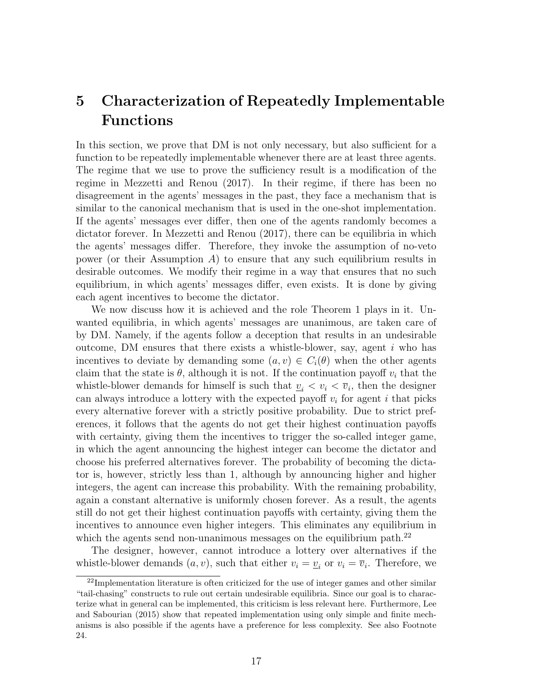# 5 Characterization of Repeatedly Implementable Functions

In this section, we prove that DM is not only necessary, but also sufficient for a function to be repeatedly implementable whenever there are at least three agents. The regime that we use to prove the sufficiency result is a modification of the regime in Mezzetti and Renou (2017). In their regime, if there has been no disagreement in the agents' messages in the past, they face a mechanism that is similar to the canonical mechanism that is used in the one-shot implementation. If the agents' messages ever differ, then one of the agents randomly becomes a dictator forever. In Mezzetti and Renou (2017), there can be equilibria in which the agents' messages differ. Therefore, they invoke the assumption of no-veto power (or their Assumption  $A$ ) to ensure that any such equilibrium results in desirable outcomes. We modify their regime in a way that ensures that no such equilibrium, in which agents' messages differ, even exists. It is done by giving each agent incentives to become the dictator.

We now discuss how it is achieved and the role Theorem 1 plays in it. Unwanted equilibria, in which agents' messages are unanimous, are taken care of by DM. Namely, if the agents follow a deception that results in an undesirable outcome, DM ensures that there exists a whistle-blower, say, agent  $i$  who has incentives to deviate by demanding some  $(a, v) \in C_i(\theta)$  when the other agents claim that the state is  $\theta$ , although it is not. If the continuation payoff  $v_i$  that the whistle-blower demands for himself is such that  $\underline{v}_i < v_i < \overline{v}_i$ , then the designer can always introduce a lottery with the expected payoff  $v_i$  for agent i that picks every alternative forever with a strictly positive probability. Due to strict preferences, it follows that the agents do not get their highest continuation payoffs with certainty, giving them the incentives to trigger the so-called integer game, in which the agent announcing the highest integer can become the dictator and choose his preferred alternatives forever. The probability of becoming the dictator is, however, strictly less than 1, although by announcing higher and higher integers, the agent can increase this probability. With the remaining probability, again a constant alternative is uniformly chosen forever. As a result, the agents still do not get their highest continuation payoffs with certainty, giving them the incentives to announce even higher integers. This eliminates any equilibrium in which the agents send non-unanimous messages on the equilibrium path.<sup>22</sup>

The designer, however, cannot introduce a lottery over alternatives if the whistle-blower demands  $(a, v)$ , such that either  $v_i = \underline{v}_i$  or  $v_i = \overline{v}_i$ . Therefore, we

 $22$ Implementation literature is often criticized for the use of integer games and other similar "tail-chasing" constructs to rule out certain undesirable equilibria. Since our goal is to characterize what in general can be implemented, this criticism is less relevant here. Furthermore, Lee and Sabourian (2015) show that repeated implementation using only simple and finite mechanisms is also possible if the agents have a preference for less complexity. See also Footnote 24.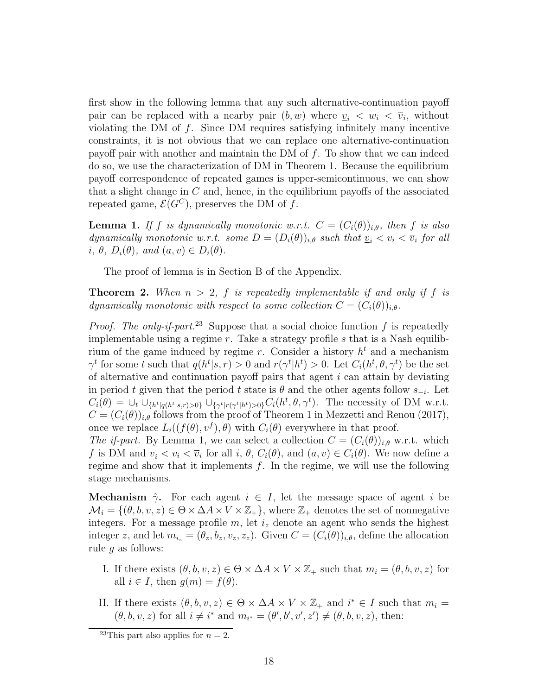first show in the following lemma that any such alternative-continuation payoff pair can be replaced with a nearby pair  $(b, w)$  where  $\underline{v}_i < w_i < \overline{v}_i$ , without violating the DM of  $f$ . Since DM requires satisfying infinitely many incentive constraints, it is not obvious that we can replace one alternative-continuation payoff pair with another and maintain the DM of  $f$ . To show that we can indeed do so, we use the characterization of DM in Theorem 1. Because the equilibrium payoff correspondence of repeated games is upper-semicontinuous, we can show that a slight change in  $C$  and, hence, in the equilibrium payoffs of the associated repeated game,  $\mathcal{E}(G^C)$ , preserves the DM of f.

**Lemma 1.** If f is dynamically monotonic w.r.t.  $C = (C_i(\theta))_{i,\theta}$ , then f is also dynamically monotonic w.r.t. some  $D = (D_i(\theta))_{i,\theta}$  such that  $\underline{v}_i < v_i < \overline{v}_i$  for all i,  $\theta$ ,  $D_i(\theta)$ , and  $(a, v) \in D_i(\theta)$ .

The proof of lemma is in Section B of the Appendix.

**Theorem 2.** When  $n > 2$ , f is repeatedly implementable if and only if f is dynamically monotonic with respect to some collection  $C = (C_i(\theta))_{i,\theta}$ .

*Proof. The only-if-part.*<sup>23</sup> Suppose that a social choice function f is repeatedly implementable using a regime  $r$ . Take a strategy profile  $s$  that is a Nash equilibrium of the game induced by regime r. Consider a history  $h<sup>t</sup>$  and a mechanism  $\gamma^t$  for some t such that  $q(h^t|s, r) > 0$  and  $r(\gamma^t|h^t) > 0$ . Let  $C_i(h^t, \theta, \gamma^t)$  be the set of alternative and continuation payoff pairs that agent  $i$  can attain by deviating in period t given that the period t state is  $\theta$  and the other agents follow  $s_{-i}$ . Let  $C_i(\theta) = \bigcup_t \bigcup_{\{h^t | q(h^t | s, r) > 0\}} \bigcup_{\{\gamma^t | r(\gamma^t | h^t) > 0\}} C_i(h^t, \theta, \gamma^t)$ . The necessity of DM w.r.t.  $C = (C_i(\theta))_{i,\theta}$  follows from the proof of Theorem 1 in Mezzetti and Renou (2017), once we replace  $L_i((f(\theta), v^f), \theta)$  with  $C_i(\theta)$  everywhere in that proof.

The if-part. By Lemma 1, we can select a collection  $C = (C_i(\theta))_{i,\theta}$  w.r.t. which f is DM and  $\underline{v}_i < v_i < \overline{v}_i$  for all  $i, \theta, C_i(\theta)$ , and  $(a, v) \in C_i(\theta)$ . We now define a regime and show that it implements  $f$ . In the regime, we will use the following stage mechanisms.

**Mechanism**  $\hat{\gamma}$ . For each agent  $i \in I$ , let the message space of agent i be  $\mathcal{M}_i = \{(\theta, b, v, z) \in \Theta \times \Delta A \times V \times \mathbb{Z}_+ \},$  where  $\mathbb{Z}_+$  denotes the set of nonnegative integers. For a message profile  $m$ , let  $i<sub>z</sub>$  denote an agent who sends the highest integer z, and let  $m_{i_z} = (\theta_z, b_z, v_z, z_z)$ . Given  $C = (C_i(\theta))_{i,\theta}$ , define the allocation rule  $q$  as follows:

- I. If there exists  $(\theta, b, v, z) \in \Theta \times \Delta A \times V \times \mathbb{Z}_+$  such that  $m_i = (\theta, b, v, z)$  for all  $i \in I$ , then  $g(m) = f(\theta)$ .
- II. If there exists  $(\theta, b, v, z) \in \Theta \times \Delta A \times V \times \mathbb{Z}_+$  and  $i^* \in I$  such that  $m_i =$  $(\theta, b, v, z)$  for all  $i \neq i^*$  and  $m_{i^*} = (\theta', b', v', z') \neq (\theta, b, v, z)$ , then:

<sup>&</sup>lt;sup>23</sup>This part also applies for  $n = 2$ .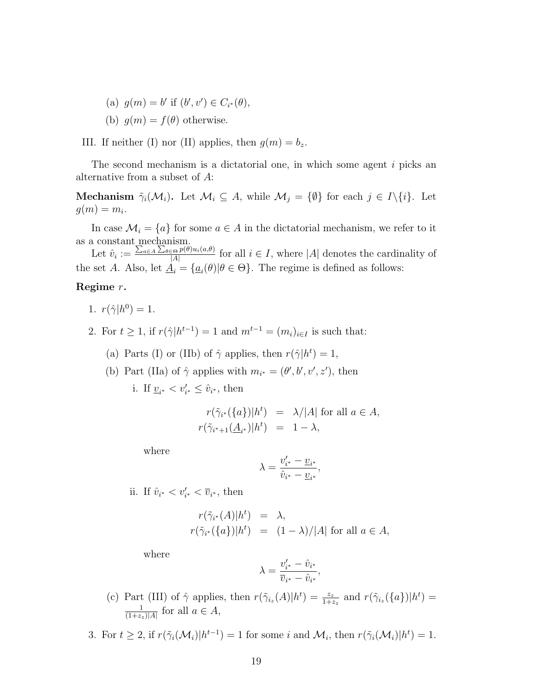(a)  $g(m) = b'$  if  $(b', v') \in C_{i^*}(\theta)$ , (b)  $q(m) = f(\theta)$  otherwise.

III. If neither (I) nor (II) applies, then  $g(m) = b_z$ .

The second mechanism is a dictatorial one, in which some agent  $i$  picks an alternative from a subset of A:

**Mechanism**  $\tilde{\gamma}_i(\mathcal{M}_i)$ . Let  $\mathcal{M}_i \subseteq A$ , while  $\mathcal{M}_j = {\emptyset}$  for each  $j \in I \setminus \{i\}$ . Let  $g(m)=m_i.$ 

In case  $\mathcal{M}_i = \{a\}$  for some  $a \in A$  in the dictatorial mechanism, we refer to it as a constant mechanism.

Let  $\hat{v}_i := \frac{\sum_{a \in A} \sum_{\theta \in \Theta} p(\theta) u_i(a, \theta)}{|A|}$  $\frac{d \in \Theta}{|A|}$  for all  $i \in I$ , where  $|A|$  denotes the cardinality of the set A. Also, let  $\underline{A}_i = {\underline{a}_i(\theta)} \mid \theta \in \Theta$ . The regime is defined as follows:

### Regime r.

- 1.  $r(\hat{\gamma}|h^0) = 1$ .
- 2. For  $t \geq 1$ , if  $r(\hat{\gamma}|h^{t-1}) = 1$  and  $m^{t-1} = (m_i)_{i \in I}$  is such that:
	- (a) Parts (I) or (IIb) of  $\hat{\gamma}$  applies, then  $r(\hat{\gamma}|h^t) = 1$ ,
	- (b) Part (IIa) of  $\hat{\gamma}$  applies with  $m_{i^*} = (\theta', b', v', z')$ , then i. If  $\underline{v}_{i^*} < v'_{i^*} \leq \hat{v}_{i^*}$ , then

$$
r(\tilde{\gamma}_{i^*}(\{a\})|h^t) = \lambda/|A| \text{ for all } a \in A,
$$
  

$$
r(\tilde{\gamma}_{i^*+1}(\underline{A}_{i^*})|h^t) = 1 - \lambda,
$$

where

$$
\lambda = \frac{v'_{i^*} - \underline{v}_{i^*}}{\hat{v}_{i^*} - \underline{v}_{i^*}},
$$

ii. If  $\hat{v}_{i^*} < v'_{i^*} < \overline{v}_{i^*}$ , then

$$
r(\tilde{\gamma}_{i^*}(A)|h^t) = \lambda,
$$
  

$$
r(\tilde{\gamma}_{i^*}(\{a\})|h^t) = (1-\lambda)/|A| \text{ for all } a \in A,
$$

where

$$
\lambda = \frac{v'_{i^*} - \hat{v}_{i^*}}{\overline{v}_{i^*} - \hat{v}_{i^*}},
$$

- (c) Part (III) of  $\hat{\gamma}$  applies, then  $r(\tilde{\gamma}_{i_z}(A)|h^t) = \frac{z_z}{1+z_z}$  and  $r(\tilde{\gamma}_{i_z}(\{a\})|h^t) =$ 1  $\frac{1}{(1+z_z)|A|}$  for all  $a \in A$ ,
- 3. For  $t \geq 2$ , if  $r(\tilde{\gamma}_i(\mathcal{M}_i)|h^{t-1}) = 1$  for some i and  $\mathcal{M}_i$ , then  $r(\tilde{\gamma}_i(\mathcal{M}_i)|h^t) = 1$ .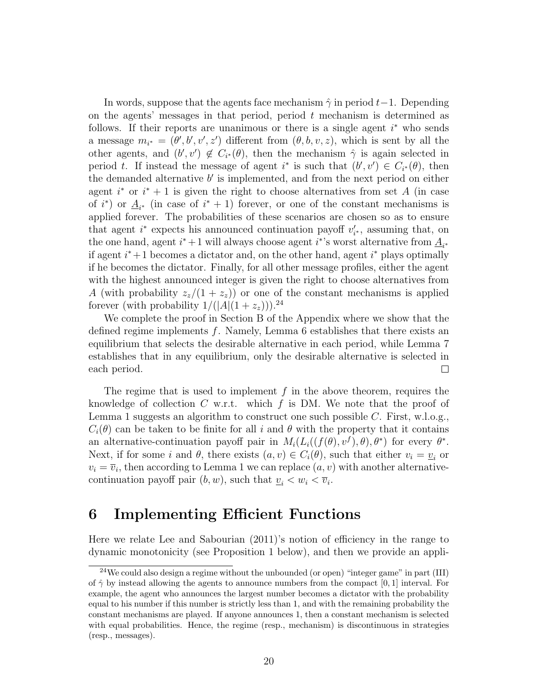In words, suppose that the agents face mechanism  $\hat{\gamma}$  in period  $t-1$ . Depending on the agents' messages in that period, period  $t$  mechanism is determined as follows. If their reports are unanimous or there is a single agent  $i^*$  who sends a message  $m_{i^*} = (\theta', b', v', z')$  different from  $(\theta, b, v, z)$ , which is sent by all the other agents, and  $(b', v') \notin C_{i^*}(\theta)$ , then the mechanism  $\hat{\gamma}$  is again selected in period t. If instead the message of agent  $i^*$  is such that  $(b', v') \in C_{i^*}(\theta)$ , then the demanded alternative  $b'$  is implemented, and from the next period on either agent  $i^*$  or  $i^* + 1$  is given the right to choose alternatives from set A (in case of  $i^*$ ) or  $\underline{A}_{i^*}$  (in case of  $i^* + 1$ ) forever, or one of the constant mechanisms is applied forever. The probabilities of these scenarios are chosen so as to ensure that agent  $i^*$  expects his announced continuation payoff  $v'_{i^*}$ , assuming that, on the one hand, agent  $i^*+1$  will always choose agent  $i^*$ 's worst alternative from  $\underline{A}_{i^*}$ if agent  $i^*+1$  becomes a dictator and, on the other hand, agent  $i^*$  plays optimally if he becomes the dictator. Finally, for all other message profiles, either the agent with the highest announced integer is given the right to choose alternatives from A (with probability  $z_z/(1+z_z)$ ) or one of the constant mechanisms is applied forever (with probability  $1/(|A|(1+z_z))$ ).<sup>24</sup>

We complete the proof in Section B of the Appendix where we show that the defined regime implements  $f$ . Namely, Lemma 6 establishes that there exists an equilibrium that selects the desirable alternative in each period, while Lemma 7 establishes that in any equilibrium, only the desirable alternative is selected in  $\Box$ each period.

The regime that is used to implement  $f$  in the above theorem, requires the knowledge of collection C w.r.t. which f is DM. We note that the proof of Lemma 1 suggests an algorithm to construct one such possible  $C$ . First, w.l.o.g.,  $C_i(\theta)$  can be taken to be finite for all i and  $\theta$  with the property that it contains an alternative-continuation payoff pair in  $M_i(L_i((f(\theta), v^f), \theta), \theta^*)$  for every  $\theta^*$ . Next, if for some i and  $\theta$ , there exists  $(a, v) \in C_i(\theta)$ , such that either  $v_i = v_i$  or  $v_i = \overline{v}_i$ , then according to Lemma 1 we can replace  $(a, v)$  with another alternativecontinuation payoff pair  $(b, w)$ , such that  $\underline{v}_i < w_i < \overline{v}_i$ .

## 6 Implementing Efficient Functions

Here we relate Lee and Sabourian (2011)'s notion of efficiency in the range to dynamic monotonicity (see Proposition 1 below), and then we provide an appli-

<sup>&</sup>lt;sup>24</sup>We could also design a regime without the unbounded (or open) "integer game" in part (III) of  $\hat{\gamma}$  by instead allowing the agents to announce numbers from the compact [0, 1] interval. For example, the agent who announces the largest number becomes a dictator with the probability equal to his number if this number is strictly less than 1, and with the remaining probability the constant mechanisms are played. If anyone announces 1, then a constant mechanism is selected with equal probabilities. Hence, the regime (resp., mechanism) is discontinuous in strategies (resp., messages).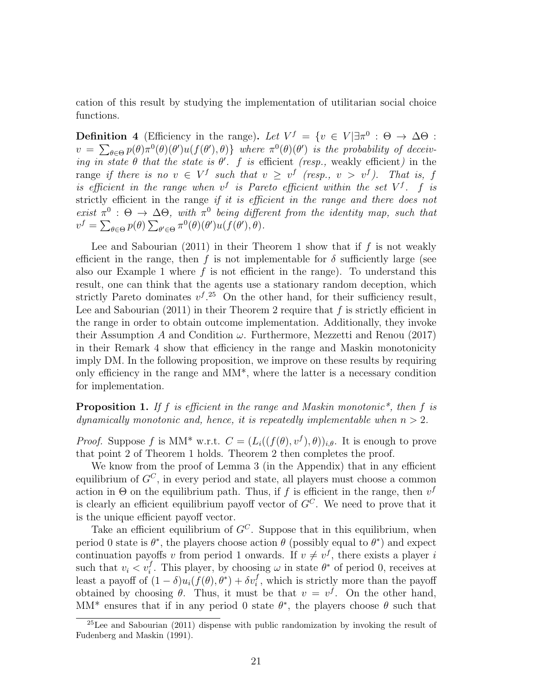cation of this result by studying the implementation of utilitarian social choice functions.

**Definition 4** (Efficiency in the range). Let  $V^f = \{v \in V | \exists \pi^0 : \Theta \to \Delta \Theta :$  $v = \sum_{\theta \in \Theta} p(\theta) \pi^{0}(\theta)(\theta') u(f(\theta'), \theta) \}$  where  $\pi^{0}(\theta)(\theta')$  is the probability of deceiving in state  $\theta$  that the state is  $\theta'$ . f is efficient (resp., weakly efficient) in the range if there is no  $v \in V^f$  such that  $v \geq v^f$  (resp.,  $v > v^f$ ). That is, f is efficient in the range when  $v^f$  is Pareto efficient within the set  $V^f$ . f is strictly efficient in the range if it is efficient in the range and there does not exist  $\pi^0$ :  $\Theta \rightarrow \Delta \Theta$ , with  $\pi^0$  being different from the identity map, such that  $v^f = \sum_{\theta \in \Theta} p(\theta) \sum_{\theta' \in \Theta} \pi^0(\theta) (\theta') u(f(\theta'), \theta).$ 

Lee and Sabourian  $(2011)$  in their Theorem 1 show that if f is not weakly efficient in the range, then f is not implementable for  $\delta$  sufficiently large (see also our Example 1 where  $f$  is not efficient in the range). To understand this result, one can think that the agents use a stationary random deception, which strictly Pareto dominates  $v^f$ .<sup>25</sup> On the other hand, for their sufficiency result, Lee and Sabourian  $(2011)$  in their Theorem 2 require that f is strictly efficient in the range in order to obtain outcome implementation. Additionally, they invoke their Assumption A and Condition  $\omega$ . Furthermore, Mezzetti and Renou (2017) in their Remark 4 show that efficiency in the range and Maskin monotonicity imply DM. In the following proposition, we improve on these results by requiring only efficiency in the range and  $MM^*$ , where the latter is a necessary condition for implementation.

**Proposition 1.** If f is efficient in the range and Maskin monotonic<sup>\*</sup>, then f is dynamically monotonic and, hence, it is repeatedly implementable when  $n > 2$ .

*Proof.* Suppose f is MM<sup>\*</sup> w.r.t.  $C = (L_i((f(\theta), v^f), \theta))_{i,\theta}$ . It is enough to prove that point 2 of Theorem 1 holds. Theorem 2 then completes the proof.

We know from the proof of Lemma 3 (in the Appendix) that in any efficient equilibrium of  $G^C$ , in every period and state, all players must choose a common action in  $\Theta$  on the equilibrium path. Thus, if f is efficient in the range, then  $v^f$ is clearly an efficient equilibrium payoff vector of  $G^C$ . We need to prove that it is the unique efficient payoff vector.

Take an efficient equilibrium of  $G^C$ . Suppose that in this equilibrium, when period 0 state is  $\theta^*$ , the players choose action  $\theta$  (possibly equal to  $\theta^*$ ) and expect continuation payoffs v from period 1 onwards. If  $v \neq v^f$ , there exists a player i such that  $v_i < v_i^f$ . This player, by choosing  $\omega$  in state  $\theta^*$  of period 0, receives at least a payoff of  $(1 - \delta)u_i(f(\theta), \theta^*) + \delta v_i^f$ , which is strictly more than the payoff obtained by choosing  $\theta$ . Thus, it must be that  $v = v^f$ . On the other hand, MM<sup>\*</sup> ensures that if in any period 0 state  $\theta^*$ , the players choose  $\theta$  such that

 $^{25}$ Lee and Sabourian (2011) dispense with public randomization by invoking the result of Fudenberg and Maskin (1991).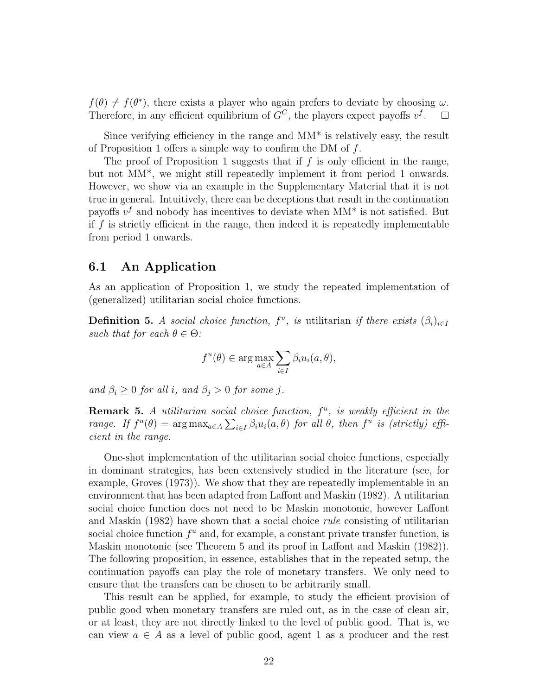$f(\theta) \neq f(\theta^*)$ , there exists a player who again prefers to deviate by choosing  $\omega$ . Therefore, in any efficient equilibrium of  $G^C$ , the players expect payoffs  $v^f$ .  $\Box$ 

Since verifying efficiency in the range and MM\* is relatively easy, the result of Proposition 1 offers a simple way to confirm the DM of  $f$ .

The proof of Proposition 1 suggests that if  $f$  is only efficient in the range, but not MM\*, we might still repeatedly implement it from period 1 onwards. However, we show via an example in the Supplementary Material that it is not true in general. Intuitively, there can be deceptions that result in the continuation payoffs  $v<sup>f</sup>$  and nobody has incentives to deviate when MM<sup>\*</sup> is not satisfied. But if  $f$  is strictly efficient in the range, then indeed it is repeatedly implementable from period 1 onwards.

### 6.1 An Application

As an application of Proposition 1, we study the repeated implementation of (generalized) utilitarian social choice functions.

**Definition 5.** A social choice function,  $f^u$ , is utilitarian if there exists  $(\beta_i)_{i\in I}$ such that for each  $\theta \in \Theta$ :

$$
f^{u}(\theta) \in \arg \max_{a \in A} \sum_{i \in I} \beta_i u_i(a, \theta),
$$

and  $\beta_i \geq 0$  for all i, and  $\beta_j > 0$  for some j.

**Remark 5.** A utilitarian social choice function,  $f^u$ , is weakly efficient in the range. If  $f^u(\theta) = \arg \max_{a \in A} \sum_{i \in I} \beta_i u_i(a, \theta)$  for all  $\theta$ , then  $f^u$  is (strictly) efficient in the range.

One-shot implementation of the utilitarian social choice functions, especially in dominant strategies, has been extensively studied in the literature (see, for example, Groves (1973)). We show that they are repeatedly implementable in an environment that has been adapted from Laffont and Maskin (1982). A utilitarian social choice function does not need to be Maskin monotonic, however Laffont and Maskin (1982) have shown that a social choice rule consisting of utilitarian social choice function  $f^u$  and, for example, a constant private transfer function, is Maskin monotonic (see Theorem 5 and its proof in Laffont and Maskin (1982)). The following proposition, in essence, establishes that in the repeated setup, the continuation payoffs can play the role of monetary transfers. We only need to ensure that the transfers can be chosen to be arbitrarily small.

This result can be applied, for example, to study the efficient provision of public good when monetary transfers are ruled out, as in the case of clean air, or at least, they are not directly linked to the level of public good. That is, we can view  $a \in A$  as a level of public good, agent 1 as a producer and the rest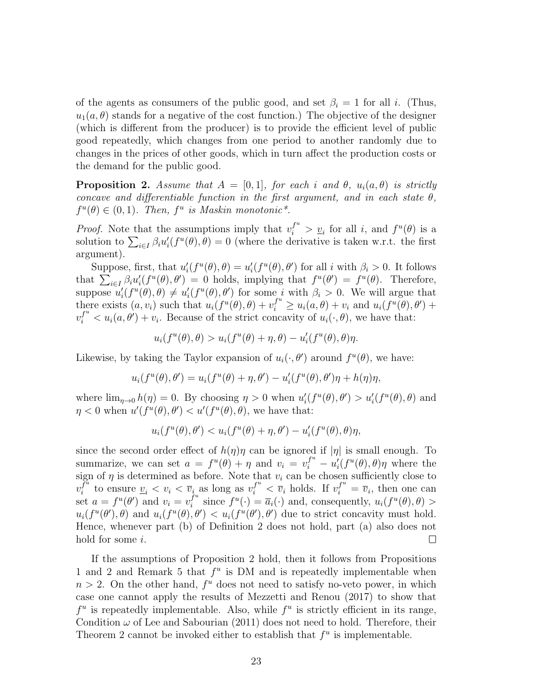of the agents as consumers of the public good, and set  $\beta_i = 1$  for all i. (Thus,  $u_1(a, \theta)$  stands for a negative of the cost function.) The objective of the designer (which is different from the producer) is to provide the efficient level of public good repeatedly, which changes from one period to another randomly due to changes in the prices of other goods, which in turn affect the production costs or the demand for the public good.

**Proposition 2.** Assume that  $A = [0, 1]$ , for each i and  $\theta$ ,  $u_i(a, \theta)$  is strictly concave and differentiable function in the first argument, and in each state  $\theta$ ,  $f^u(\theta) \in (0,1)$ . Then,  $f^u$  is Maskin monotonic\*.

*Proof.* Note that the assumptions imply that  $v_i^{f^u} > v_i$  for all i, and  $f^u(\theta)$  is a solution to  $\sum_{i\in I} \beta_i u'_i(f^u(\theta), \theta) = 0$  (where the derivative is taken w.r.t. the first argument).

Suppose, first, that  $u'_i(f^u(\theta), \theta) = u'_i(f^u(\theta), \theta')$  for all i with  $\beta_i > 0$ . It follows that  $\sum_{i\in I} \beta_i u'_i(f^u(\theta), \theta') = 0$  holds, implying that  $f^u(\theta') = f^u(\theta)$ . Therefore, suppose  $u'_i(f^u(\theta), \theta) \neq u'_i(f^u(\theta), \theta')$  for some i with  $\beta_i > 0$ . We will argue that there exists  $(a, v_i)$  such that  $u_i(f^u(\theta), \theta) + v_i^{f^u} \ge u_i(a, \theta) + v_i$  and  $u_i(f^u(\theta), \theta') +$  $v_i^{f^u} < u_i(a, \theta') + v_i$ . Because of the strict concavity of  $u_i(\cdot, \theta)$ , we have that:

$$
u_i(f^u(\theta),\theta) > u_i(f^u(\theta) + \eta,\theta) - u'_i(f^u(\theta),\theta)\eta.
$$

Likewise, by taking the Taylor expansion of  $u_i(\cdot, \theta')$  around  $f^u(\theta)$ , we have:

$$
u_i(f^u(\theta), \theta') = u_i(f^u(\theta) + \eta, \theta') - u'_i(f^u(\theta), \theta')\eta + h(\eta)\eta,
$$

where  $\lim_{\eta\to 0} h(\eta) = 0$ . By choosing  $\eta > 0$  when  $u'_i(f^u(\theta), \theta') > u'_i(f^u(\theta), \theta)$  and  $\eta < 0$  when  $u'(f^u(\theta), \theta') < u'(f^u(\theta), \theta)$ , we have that:

$$
u_i(f^u(\theta), \theta') < u_i(f^u(\theta) + \eta, \theta') - u'_i(f^u(\theta), \theta)\eta,
$$

since the second order effect of  $h(\eta)\eta$  can be ignored if  $|\eta|$  is small enough. To summarize, we can set  $a = f^u(\theta) + \eta$  and  $v_i = v_i^{f^u} - u_i'(f^u(\theta), \theta)\eta$  where the sign of  $\eta$  is determined as before. Note that  $v_i$  can be chosen sufficiently close to  $v_i^{f^u}$  $\sum_i^{\mu}$  to ensure  $\underline{v}_i < v_i < \overline{v}_i$  as long as  $v_i^{f^u} < \overline{v}_i$  holds. If  $v_i^{f^u} = \overline{v}_i$ , then one can set  $a = f^u(\theta')$  and  $v_i = v_i^{f^u}$  $f_i^u$  since  $f^u(\cdot) = \overline{a}_i(\cdot)$  and, consequently,  $u_i(f^u(\theta), \theta) >$  $u_i(f^u(\theta),\theta)$  and  $u_i(f^u(\theta),\theta') < u_i(f^u(\theta'),\theta')$  due to strict concavity must hold. Hence, whenever part (b) of Definition 2 does not hold, part (a) also does not hold for some i.  $\Box$ 

If the assumptions of Proposition 2 hold, then it follows from Propositions 1 and 2 and Remark 5 that  $f^u$  is DM and is repeatedly implementable when  $n > 2$ . On the other hand,  $f^u$  does not need to satisfy no-veto power, in which case one cannot apply the results of Mezzetti and Renou (2017) to show that  $f^u$  is repeatedly implementable. Also, while  $f^u$  is strictly efficient in its range, Condition  $\omega$  of Lee and Sabourian (2011) does not need to hold. Therefore, their Theorem 2 cannot be invoked either to establish that  $f^u$  is implementable.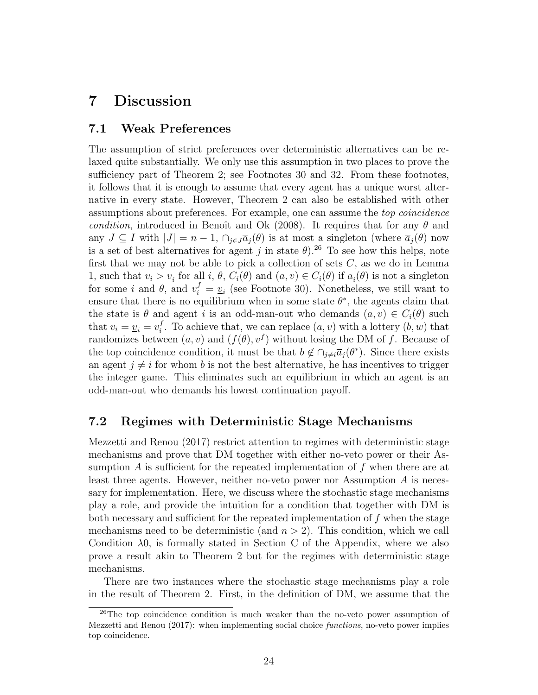# 7 Discussion

### 7.1 Weak Preferences

The assumption of strict preferences over deterministic alternatives can be relaxed quite substantially. We only use this assumption in two places to prove the sufficiency part of Theorem 2; see Footnotes 30 and 32. From these footnotes, it follows that it is enough to assume that every agent has a unique worst alternative in every state. However, Theorem 2 can also be established with other assumptions about preferences. For example, one can assume the top coincidence condition, introduced in Benoît and Ok (2008). It requires that for any  $\theta$  and any  $J \subseteq I$  with  $|J| = n - 1$ ,  $\bigcap_{i \in J} \overline{a}_i(\theta)$  is at most a singleton (where  $\overline{a}_i(\theta)$  now is a set of best alternatives for agent j in state  $\theta$ ).<sup>26</sup> To see how this helps, note first that we may not be able to pick a collection of sets  $C$ , as we do in Lemma 1, such that  $v_i > v_i$  for all  $i, \theta, C_i(\theta)$  and  $(a, v) \in C_i(\theta)$  if  $\underline{a}_i(\theta)$  is not a singleton for some *i* and  $\theta$ , and  $v_i^f = v_i$  (see Footnote 30). Nonetheless, we still want to ensure that there is no equilibrium when in some state  $\theta^*$ , the agents claim that the state is  $\theta$  and agent i is an odd-man-out who demands  $(a, v) \in C_i(\theta)$  such that  $v_i = \underline{v}_i = v_i^f$  $i<sub>i</sub>$ . To achieve that, we can replace  $(a, v)$  with a lottery  $(b, w)$  that randomizes between  $(a, v)$  and  $(f(\theta), v^f)$  without losing the DM of f. Because of the top coincidence condition, it must be that  $b \notin \bigcap_{j\neq i} \overline{a}_j(\theta^*)$ . Since there exists an agent  $j \neq i$  for whom b is not the best alternative, he has incentives to trigger the integer game. This eliminates such an equilibrium in which an agent is an odd-man-out who demands his lowest continuation payoff.

### 7.2 Regimes with Deterministic Stage Mechanisms

Mezzetti and Renou (2017) restrict attention to regimes with deterministic stage mechanisms and prove that DM together with either no-veto power or their Assumption  $A$  is sufficient for the repeated implementation of  $f$  when there are at least three agents. However, neither no-veto power nor Assumption A is necessary for implementation. Here, we discuss where the stochastic stage mechanisms play a role, and provide the intuition for a condition that together with DM is both necessary and sufficient for the repeated implementation of  $f$  when the stage mechanisms need to be deterministic (and  $n > 2$ ). This condition, which we call Condition  $\lambda 0$ , is formally stated in Section C of the Appendix, where we also prove a result akin to Theorem 2 but for the regimes with deterministic stage mechanisms.

There are two instances where the stochastic stage mechanisms play a role in the result of Theorem 2. First, in the definition of DM, we assume that the

<sup>&</sup>lt;sup>26</sup>The top coincidence condition is much weaker than the no-veto power assumption of Mezzetti and Renou (2017): when implementing social choice functions, no-veto power implies top coincidence.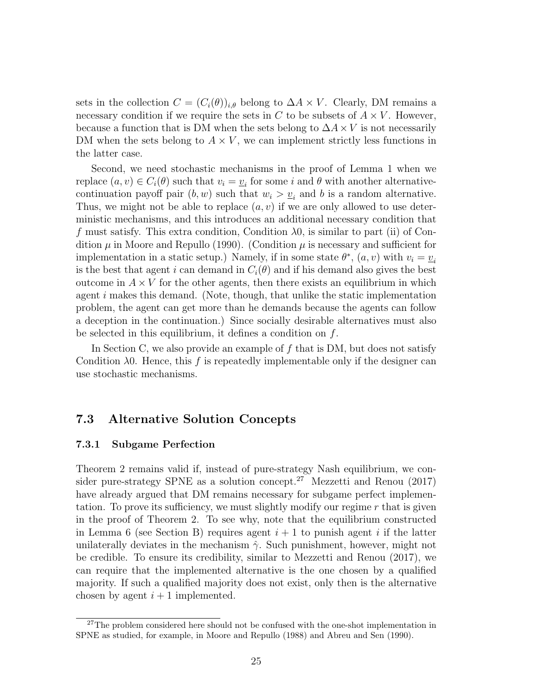sets in the collection  $C = (C_i(\theta))_{i,\theta}$  belong to  $\Delta A \times V$ . Clearly, DM remains a necessary condition if we require the sets in C to be subsets of  $A \times V$ . However, because a function that is DM when the sets belong to  $\Delta A \times V$  is not necessarily DM when the sets belong to  $A \times V$ , we can implement strictly less functions in the latter case.

Second, we need stochastic mechanisms in the proof of Lemma 1 when we replace  $(a, v) \in C_i(\theta)$  such that  $v_i = \underline{v}_i$  for some i and  $\theta$  with another alternativecontinuation payoff pair  $(b, w)$  such that  $w_i > v_i$  and b is a random alternative. Thus, we might not be able to replace  $(a, v)$  if we are only allowed to use deterministic mechanisms, and this introduces an additional necessary condition that f must satisfy. This extra condition, Condition  $\lambda 0$ , is similar to part (ii) of Condition  $\mu$  in Moore and Repullo (1990). (Condition  $\mu$  is necessary and sufficient for implementation in a static setup.) Namely, if in some state  $\theta^*$ ,  $(a, v)$  with  $v_i = \underline{v}_i$ is the best that agent i can demand in  $C_i(\theta)$  and if his demand also gives the best outcome in  $A \times V$  for the other agents, then there exists an equilibrium in which agent i makes this demand. (Note, though, that unlike the static implementation problem, the agent can get more than he demands because the agents can follow a deception in the continuation.) Since socially desirable alternatives must also be selected in this equilibrium, it defines a condition on  $f$ .

In Section C, we also provide an example of f that is DM, but does not satisfy Condition  $\lambda$ 0. Hence, this f is repeatedly implementable only if the designer can use stochastic mechanisms.

### 7.3 Alternative Solution Concepts

### 7.3.1 Subgame Perfection

Theorem 2 remains valid if, instead of pure-strategy Nash equilibrium, we consider pure-strategy SPNE as a solution concept.<sup>27</sup> Mezzetti and Renou  $(2017)$ have already argued that DM remains necessary for subgame perfect implementation. To prove its sufficiency, we must slightly modify our regime  $r$  that is given in the proof of Theorem 2. To see why, note that the equilibrium constructed in Lemma 6 (see Section B) requires agent  $i + 1$  to punish agent i if the latter unilaterally deviates in the mechanism  $\hat{\gamma}$ . Such punishment, however, might not be credible. To ensure its credibility, similar to Mezzetti and Renou (2017), we can require that the implemented alternative is the one chosen by a qualified majority. If such a qualified majority does not exist, only then is the alternative chosen by agent  $i + 1$  implemented.

<sup>&</sup>lt;sup>27</sup>The problem considered here should not be confused with the one-shot implementation in SPNE as studied, for example, in Moore and Repullo (1988) and Abreu and Sen (1990).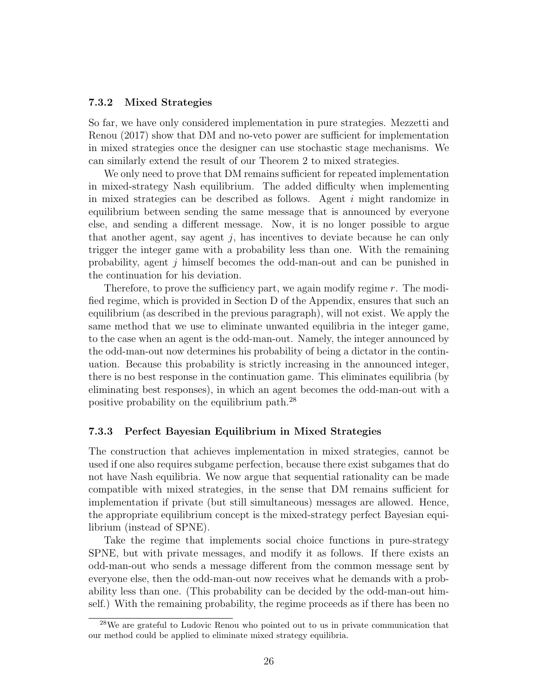### 7.3.2 Mixed Strategies

So far, we have only considered implementation in pure strategies. Mezzetti and Renou (2017) show that DM and no-veto power are sufficient for implementation in mixed strategies once the designer can use stochastic stage mechanisms. We can similarly extend the result of our Theorem 2 to mixed strategies.

We only need to prove that DM remains sufficient for repeated implementation in mixed-strategy Nash equilibrium. The added difficulty when implementing in mixed strategies can be described as follows. Agent  $i$  might randomize in equilibrium between sending the same message that is announced by everyone else, and sending a different message. Now, it is no longer possible to argue that another agent, say agent  $j$ , has incentives to deviate because he can only trigger the integer game with a probability less than one. With the remaining probability, agent j himself becomes the odd-man-out and can be punished in the continuation for his deviation.

Therefore, to prove the sufficiency part, we again modify regime  $r$ . The modified regime, which is provided in Section D of the Appendix, ensures that such an equilibrium (as described in the previous paragraph), will not exist. We apply the same method that we use to eliminate unwanted equilibria in the integer game, to the case when an agent is the odd-man-out. Namely, the integer announced by the odd-man-out now determines his probability of being a dictator in the continuation. Because this probability is strictly increasing in the announced integer, there is no best response in the continuation game. This eliminates equilibria (by eliminating best responses), in which an agent becomes the odd-man-out with a positive probability on the equilibrium path.<sup>28</sup>

### 7.3.3 Perfect Bayesian Equilibrium in Mixed Strategies

The construction that achieves implementation in mixed strategies, cannot be used if one also requires subgame perfection, because there exist subgames that do not have Nash equilibria. We now argue that sequential rationality can be made compatible with mixed strategies, in the sense that DM remains sufficient for implementation if private (but still simultaneous) messages are allowed. Hence, the appropriate equilibrium concept is the mixed-strategy perfect Bayesian equilibrium (instead of SPNE).

Take the regime that implements social choice functions in pure-strategy SPNE, but with private messages, and modify it as follows. If there exists an odd-man-out who sends a message different from the common message sent by everyone else, then the odd-man-out now receives what he demands with a probability less than one. (This probability can be decided by the odd-man-out himself.) With the remaining probability, the regime proceeds as if there has been no

<sup>28</sup>We are grateful to Ludovic Renou who pointed out to us in private communication that our method could be applied to eliminate mixed strategy equilibria.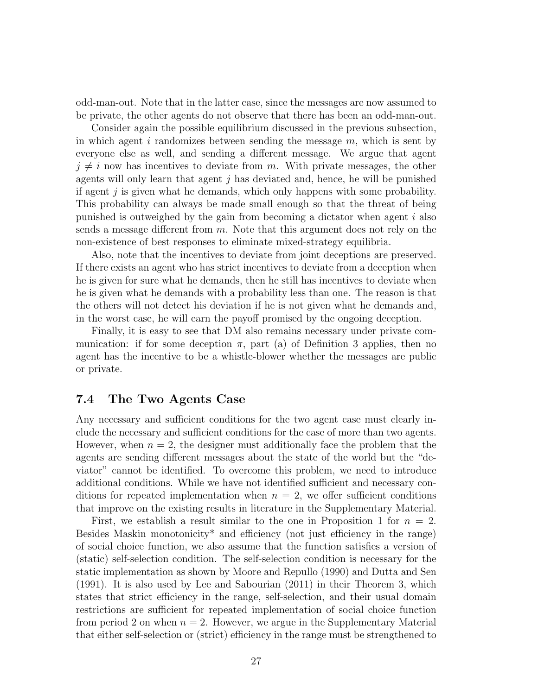odd-man-out. Note that in the latter case, since the messages are now assumed to be private, the other agents do not observe that there has been an odd-man-out.

Consider again the possible equilibrium discussed in the previous subsection, in which agent i randomizes between sending the message  $m$ , which is sent by everyone else as well, and sending a different message. We argue that agent  $j \neq i$  now has incentives to deviate from m. With private messages, the other agents will only learn that agent  $j$  has deviated and, hence, he will be punished if agent j is given what he demands, which only happens with some probability. This probability can always be made small enough so that the threat of being punished is outweighed by the gain from becoming a dictator when agent i also sends a message different from m. Note that this argument does not rely on the non-existence of best responses to eliminate mixed-strategy equilibria.

Also, note that the incentives to deviate from joint deceptions are preserved. If there exists an agent who has strict incentives to deviate from a deception when he is given for sure what he demands, then he still has incentives to deviate when he is given what he demands with a probability less than one. The reason is that the others will not detect his deviation if he is not given what he demands and, in the worst case, he will earn the payoff promised by the ongoing deception.

Finally, it is easy to see that DM also remains necessary under private communication: if for some deception  $\pi$ , part (a) of Definition 3 applies, then no agent has the incentive to be a whistle-blower whether the messages are public or private.

### 7.4 The Two Agents Case

Any necessary and sufficient conditions for the two agent case must clearly include the necessary and sufficient conditions for the case of more than two agents. However, when  $n = 2$ , the designer must additionally face the problem that the agents are sending different messages about the state of the world but the "deviator" cannot be identified. To overcome this problem, we need to introduce additional conditions. While we have not identified sufficient and necessary conditions for repeated implementation when  $n = 2$ , we offer sufficient conditions that improve on the existing results in literature in the Supplementary Material.

First, we establish a result similar to the one in Proposition 1 for  $n = 2$ . Besides Maskin monotonicity\* and efficiency (not just efficiency in the range) of social choice function, we also assume that the function satisfies a version of (static) self-selection condition. The self-selection condition is necessary for the static implementation as shown by Moore and Repullo (1990) and Dutta and Sen (1991). It is also used by Lee and Sabourian (2011) in their Theorem 3, which states that strict efficiency in the range, self-selection, and their usual domain restrictions are sufficient for repeated implementation of social choice function from period 2 on when  $n = 2$ . However, we argue in the Supplementary Material that either self-selection or (strict) efficiency in the range must be strengthened to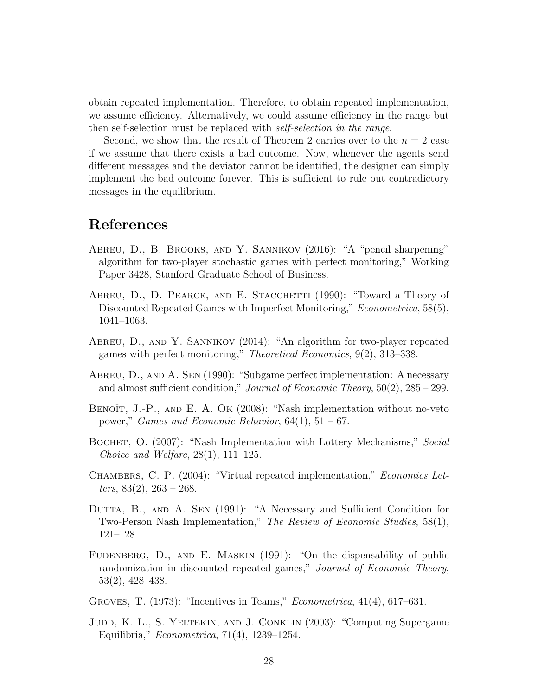obtain repeated implementation. Therefore, to obtain repeated implementation, we assume efficiency. Alternatively, we could assume efficiency in the range but then self-selection must be replaced with self-selection in the range.

Second, we show that the result of Theorem 2 carries over to the  $n = 2$  case if we assume that there exists a bad outcome. Now, whenever the agents send different messages and the deviator cannot be identified, the designer can simply implement the bad outcome forever. This is sufficient to rule out contradictory messages in the equilibrium.

# References

- Abreu, D., B. Brooks, and Y. Sannikov (2016): "A "pencil sharpening" algorithm for two-player stochastic games with perfect monitoring," Working Paper 3428, Stanford Graduate School of Business.
- ABREU, D., D. PEARCE, AND E. STACCHETTI (1990): "Toward a Theory of Discounted Repeated Games with Imperfect Monitoring," *Econometrica*, 58(5), 1041–1063.
- Abreu, D., and Y. Sannikov (2014): "An algorithm for two-player repeated games with perfect monitoring," Theoretical Economics, 9(2), 313–338.
- Abreu, D., and A. Sen (1990): "Subgame perfect implementation: A necessary and almost sufficient condition," Journal of Economic Theory,  $50(2)$ ,  $285 - 299$ .
- BENOÎT, J.-P., AND E. A. OK  $(2008)$ : "Nash implementation without no-veto power," Games and Economic Behavior,  $64(1)$ ,  $51 - 67$ .
- BOCHET, O. (2007): "Nash Implementation with Lottery Mechanisms," Social *Choice and Welfare,*  $28(1)$ ,  $111-125$ .
- Chambers, C. P. (2004): "Virtual repeated implementation," Economics Letters,  $83(2)$ ,  $263 - 268$ .
- DUTTA, B., AND A. SEN (1991): "A Necessary and Sufficient Condition for Two-Person Nash Implementation," The Review of Economic Studies, 58(1), 121–128.
- FUDENBERG, D., AND E. MASKIN (1991): "On the dispensability of public randomization in discounted repeated games," Journal of Economic Theory, 53(2), 428–438.
- Groves, T. (1973): "Incentives in Teams," Econometrica, 41(4), 617–631.
- Judd, K. L., S. Yeltekin, and J. Conklin (2003): "Computing Supergame Equilibria," Econometrica, 71(4), 1239–1254.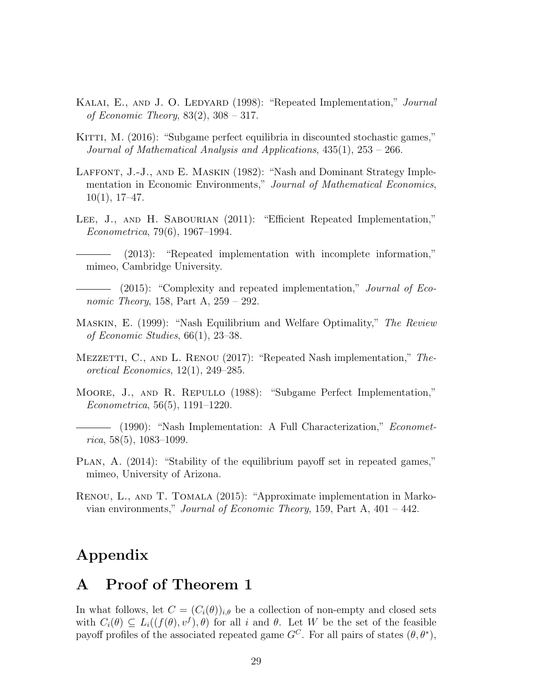- KALAI, E., AND J. O. LEDYARD (1998): "Repeated Implementation," Journal of Economic Theory,  $83(2)$ ,  $308 - 317$ .
- KITTI, M. (2016): "Subgame perfect equilibria in discounted stochastic games," Journal of Mathematical Analysis and Applications, 435(1), 253 – 266.
- Laffont, J.-J., and E. Maskin (1982): "Nash and Dominant Strategy Implementation in Economic Environments," Journal of Mathematical Economics,  $10(1), 17-47.$
- LEE, J., AND H. SABOURIAN (2011): "Efficient Repeated Implementation," Econometrica, 79(6), 1967–1994.
- (2013): "Repeated implementation with incomplete information," mimeo, Cambridge University.
- (2015): "Complexity and repeated implementation," Journal of Economic Theory, 158, Part A, 259 – 292.
- Maskin, E. (1999): "Nash Equilibrium and Welfare Optimality," The Review of Economic Studies, 66(1), 23–38.
- MEZZETTI, C., AND L. RENOU (2017): "Repeated Nash implementation," Theoretical Economics, 12(1), 249–285.
- Moore, J., and R. Repullo (1988): "Subgame Perfect Implementation," Econometrica, 56(5), 1191–1220.
- (1990): "Nash Implementation: A Full Characterization," Econometrica, 58 $(5)$ , 1083-1099.
- Plan, A. (2014): "Stability of the equilibrium payoff set in repeated games," mimeo, University of Arizona.
- Renou, L., and T. Tomala (2015): "Approximate implementation in Markovian environments," Journal of Economic Theory, 159, Part A,  $401 - 442$ .

# Appendix

# A Proof of Theorem 1

In what follows, let  $C = (C_i(\theta))_{i,\theta}$  be a collection of non-empty and closed sets with  $C_i(\theta) \subseteq L_i((f(\theta), v^f), \theta)$  for all i and  $\theta$ . Let W be the set of the feasible payoff profiles of the associated repeated game  $G^C$ . For all pairs of states  $(\theta, \theta^*)$ ,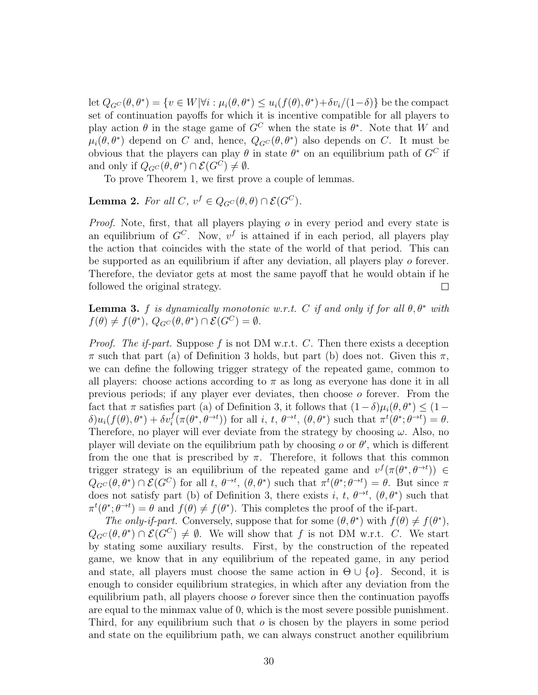let  $Q_{G^C}(\theta, \theta^*) = \{v \in W | \forall i : \mu_i(\theta, \theta^*) \leq u_i(f(\theta), \theta^*) + \delta v_i/(1-\delta)\}\$  be the compact set of continuation payoffs for which it is incentive compatible for all players to play action  $\theta$  in the stage game of  $G^C$  when the state is  $\theta^*$ . Note that W and  $\mu_i(\theta, \theta^*)$  depend on C and, hence,  $Q_{G^C}(\theta, \theta^*)$  also depends on C. It must be obvious that the players can play  $\theta$  in state  $\theta^*$  on an equilibrium path of  $G^C$  if and only if  $Q_{G^C}(\theta, \theta^*) \cap \mathcal{E}(G^C) \neq \emptyset$ .

To prove Theorem 1, we first prove a couple of lemmas.

**Lemma 2.** For all  $C, v^f \in Q_{G^C}(\theta, \theta) \cap \mathcal{E}(G^C)$ .

*Proof.* Note, first, that all players playing  $o$  in every period and every state is an equilibrium of  $G^C$ . Now,  $v^f$  is attained if in each period, all players play the action that coincides with the state of the world of that period. This can be supported as an equilibrium if after any deviation, all players play o forever. Therefore, the deviator gets at most the same payoff that he would obtain if he followed the original strategy.  $\Box$ 

**Lemma 3.** f is dynamically monotonic w.r.t. C if and only if for all  $\theta$ ,  $\theta^*$  with  $f(\theta) \neq f(\theta^*), Q_{G^C}(\theta, \theta^*) \cap \mathcal{E}(G^C) = \emptyset.$ 

*Proof.* The if-part. Suppose f is not DM w.r.t. C. Then there exists a deception  $\pi$  such that part (a) of Definition 3 holds, but part (b) does not. Given this  $\pi$ , we can define the following trigger strategy of the repeated game, common to all players: choose actions according to  $\pi$  as long as everyone has done it in all previous periods; if any player ever deviates, then choose  $\sigma$  forever. From the fact that  $\pi$  satisfies part (a) of Definition 3, it follows that  $(1-\delta)\mu_i(\theta, \theta^*) \leq (1-\delta)\mu_i(\theta, \theta^*)$  $\delta$ ) $u_i(f(\theta), \theta^*) + \delta v_i^f(\pi(\theta^*, \theta^{\to t}))$  for all i, t,  $\theta^{\to t}$ ,  $(\theta, \theta^*)$  such that  $\pi^t(\theta^*; \theta^{\to t}) = \theta$ . Therefore, no player will ever deviate from the strategy by choosing  $\omega$ . Also, no player will deviate on the equilibrium path by choosing  $\rho$  or  $\theta'$ , which is different from the one that is prescribed by  $\pi$ . Therefore, it follows that this common trigger strategy is an equilibrium of the repeated game and  $v^f(\pi(\theta^*,\theta^{\to t})) \in$  $Q_{G^C}(\theta, \theta^*) \cap \mathcal{E}(G^C)$  for all t,  $\theta^{\to t}$ ,  $(\theta, \theta^*)$  such that  $\pi^t(\theta^*; \theta^{\to t}) = \theta$ . But since  $\pi$ does not satisfy part (b) of Definition 3, there exists i, t,  $\theta^{-t}$ ,  $(\theta, \theta^*)$  such that  $\pi^t(\theta^*; \theta^{\to t}) = \theta$  and  $f(\theta) \neq f(\theta^*)$ . This completes the proof of the if-part.

The only-if-part. Conversely, suppose that for some  $(\theta, \theta^*)$  with  $f(\theta) \neq f(\theta^*)$ ,  $Q_{G^C}(\theta, \theta^*) \cap \mathcal{E}(G^C) \neq \emptyset$ . We will show that f is not DM w.r.t. C. We start by stating some auxiliary results. First, by the construction of the repeated game, we know that in any equilibrium of the repeated game, in any period and state, all players must choose the same action in  $\Theta \cup \{o\}$ . Second, it is enough to consider equilibrium strategies, in which after any deviation from the equilibrium path, all players choose  $\sigma$  forever since then the continuation payoffs are equal to the minmax value of 0, which is the most severe possible punishment. Third, for any equilibrium such that  $\sigma$  is chosen by the players in some period and state on the equilibrium path, we can always construct another equilibrium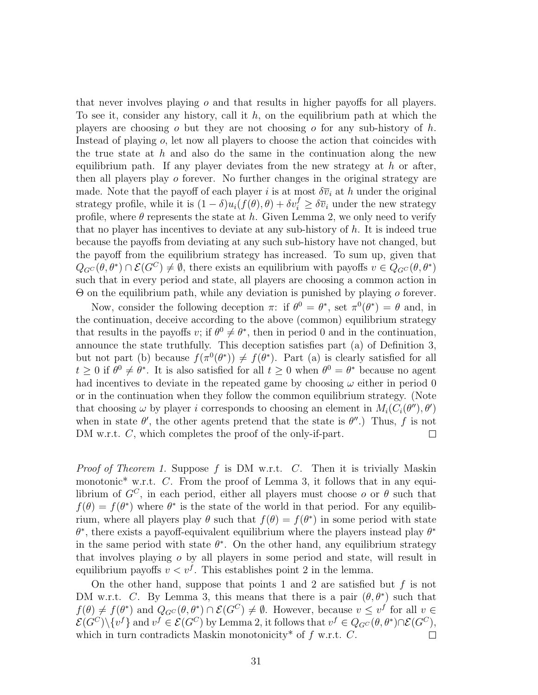that never involves playing o and that results in higher payoffs for all players. To see it, consider any history, call it  $h$ , on the equilibrium path at which the players are choosing  $o$  but they are not choosing  $o$  for any sub-history of  $h$ . Instead of playing o, let now all players to choose the action that coincides with the true state at  $h$  and also do the same in the continuation along the new equilibrium path. If any player deviates from the new strategy at  $h$  or after, then all players play o forever. No further changes in the original strategy are made. Note that the payoff of each player i is at most  $\delta \overline{v}_i$  at h under the original strategy profile, while it is  $(1 - \delta)u_i(f(\theta), \theta) + \delta v_i^f \geq \delta \overline{v}_i$  under the new strategy profile, where  $\theta$  represents the state at h. Given Lemma 2, we only need to verify that no player has incentives to deviate at any sub-history of h. It is indeed true because the payoffs from deviating at any such sub-history have not changed, but the payoff from the equilibrium strategy has increased. To sum up, given that  $Q_{G^C}(\theta, \theta^*) \cap \mathcal{E}(G^C) \neq \emptyset$ , there exists an equilibrium with payoffs  $v \in Q_{G^C}(\theta, \theta^*)$ such that in every period and state, all players are choosing a common action in Θ on the equilibrium path, while any deviation is punished by playing o forever.

Now, consider the following deception  $\pi$ : if  $\theta^0 = \theta^*$ , set  $\pi^0(\theta^*) = \theta$  and, in the continuation, deceive according to the above (common) equilibrium strategy that results in the payoffs v; if  $\theta^0 \neq \theta^*$ , then in period 0 and in the continuation, announce the state truthfully. This deception satisfies part (a) of Definition 3, but not part (b) because  $f(\pi^0(\theta^*)) \neq f(\theta^*)$ . Part (a) is clearly satisfied for all  $t \geq 0$  if  $\theta^0 \neq \theta^*$ . It is also satisfied for all  $t \geq 0$  when  $\theta^0 = \theta^*$  because no agent had incentives to deviate in the repeated game by choosing  $\omega$  either in period 0 or in the continuation when they follow the common equilibrium strategy. (Note that choosing  $\omega$  by player i corresponds to choosing an element in  $M_i(C_i(\theta''), \theta')$ when in state  $\theta'$ , the other agents pretend that the state is  $\theta''$ .) Thus, f is not DM w.r.t. C, which completes the proof of the only-if-part.  $\Box$ 

*Proof of Theorem 1.* Suppose  $f$  is DM w.r.t.  $C$ . Then it is trivially Maskin monotonic<sup>\*</sup> w.r.t. C. From the proof of Lemma 3, it follows that in any equilibrium of  $G^C$ , in each period, either all players must choose  $\sigma$  or  $\theta$  such that  $f(\theta) = f(\theta^*)$  where  $\theta^*$  is the state of the world in that period. For any equilibrium, where all players play  $\theta$  such that  $f(\theta) = f(\theta^*)$  in some period with state  $\theta^*$ , there exists a payoff-equivalent equilibrium where the players instead play  $\theta^*$ in the same period with state  $\theta^*$ . On the other hand, any equilibrium strategy that involves playing o by all players in some period and state, will result in equilibrium payoffs  $v < v<sup>f</sup>$ . This establishes point 2 in the lemma.

On the other hand, suppose that points 1 and 2 are satisfied but  $f$  is not DM w.r.t. C. By Lemma 3, this means that there is a pair  $(\theta, \theta^*)$  such that  $f(\theta) \neq f(\theta^*)$  and  $Q_{G^C}(\theta, \theta^*) \cap \mathcal{E}(G^C) \neq \emptyset$ . However, because  $v \leq v^f$  for all  $v \in$  $\mathcal{E}(G^C)\backslash\{v^f\}$  and  $v^f\in\mathcal{E}(G^C)$  by Lemma 2, it follows that  $v^f\in Q_{G^C}(\theta,\theta^*)\cap\mathcal{E}(G^C)$ , which in turn contradicts Maskin monotonicity\* of  $f$  w.r.t.  $C$ .  $\Box$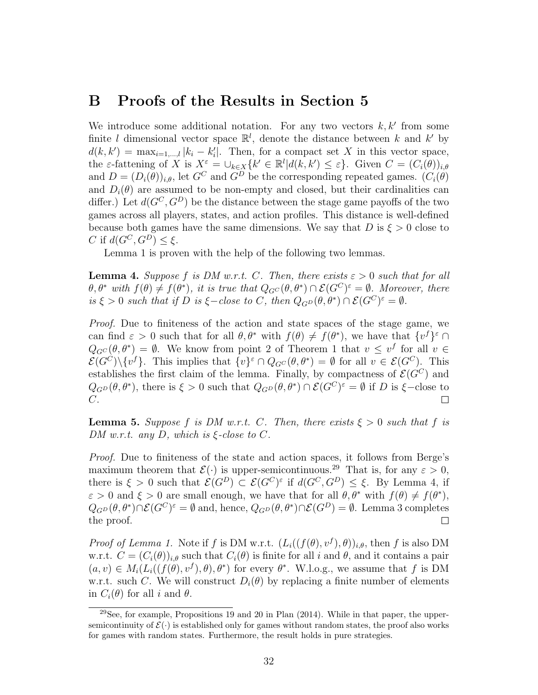### B Proofs of the Results in Section 5

We introduce some additional notation. For any two vectors  $k, k'$  from some finite l dimensional vector space  $\mathbb{R}^l$ , denote the distance between k and k' by  $d(k, k') = \max_{i=1,\dots,l} |k_i - k'_i|$ . Then, for a compact set X in this vector space, the  $\varepsilon$ -fattening of X is  $X^{\varepsilon} = \bigcup_{k \in X} \{k' \in \mathbb{R}^l | d(k, k') \leq \varepsilon\}$ . Given  $C = (C_i(\theta))_{i, \theta}$ and  $D = (D_i(\theta))_{i,\theta}$ , let  $G^C$  and  $G^D$  be the corresponding repeated games.  $(C_i(\theta))$ and  $D_i(\theta)$  are assumed to be non-empty and closed, but their cardinalities can differ.) Let  $d(G^C, G^D)$  be the distance between the stage game payoffs of the two games across all players, states, and action profiles. This distance is well-defined because both games have the same dimensions. We say that D is  $\xi > 0$  close to C if  $d(G^C, G^D) \leq \xi$ .

Lemma 1 is proven with the help of the following two lemmas.

**Lemma 4.** Suppose f is DM w.r.t. C. Then, there exists  $\varepsilon > 0$  such that for all  $\theta, \theta^*$  with  $f(\theta) \neq f(\theta^*)$ , it is true that  $Q_{G^C}(\theta, \theta^*) \cap \mathcal{E}(G^C)^{\varepsilon} = \emptyset$ . Moreover, there is  $\xi > 0$  such that if D is  $\xi$ -close to C, then  $Q_{G^D}(\theta, \theta^*) \cap \mathcal{E}(G^C)^{\varepsilon} = \emptyset$ .

Proof. Due to finiteness of the action and state spaces of the stage game, we can find  $\varepsilon > 0$  such that for all  $\theta, \theta^*$  with  $f(\theta) \neq f(\theta^*)$ , we have that  $\{v^f\}^\varepsilon \cap$  $Q_{G}c(\theta,\theta^*) = \emptyset$ . We know from point 2 of Theorem 1 that  $v \leq v^f$  for all  $v \in$  $\mathcal{E}(G^C)\backslash\{v^f\}.$  This implies that  $\{v\}^{\varepsilon} \cap Q_{G^C}(\theta,\theta^*) = \emptyset$  for all  $v \in \mathcal{E}(G^C).$  This establishes the first claim of the lemma. Finally, by compactness of  $\mathcal{E}(G^C)$  and  $Q_{G^D}(\theta, \theta^*)$ , there is  $\xi > 0$  such that  $Q_{G^D}(\theta, \theta^*) \cap \mathcal{E}(G^C)^{\varepsilon} = \emptyset$  if D is  $\xi$ -close to  $C$ .  $\Box$ 

**Lemma 5.** Suppose f is DM w.r.t. C. Then, there exists  $\xi > 0$  such that f is DM w.r.t. any D, which is  $\xi$ -close to C.

Proof. Due to finiteness of the state and action spaces, it follows from Berge's maximum theorem that  $\mathcal{E}(\cdot)$  is upper-semicontinuous.<sup>29</sup> That is, for any  $\varepsilon > 0$ , there is  $\xi > 0$  such that  $\mathcal{E}(G^D) \subset \mathcal{E}(G^C)^{\varepsilon}$  if  $d(G^C, G^D) \leq \xi$ . By Lemma 4, if  $\varepsilon > 0$  and  $\xi > 0$  are small enough, we have that for all  $\theta, \theta^*$  with  $f(\theta) \neq f(\theta^*),$  $Q_{G^D}(\theta, \theta^*) \cap \mathcal{E}(G^C)^{\varepsilon} = \emptyset$  and, hence,  $Q_{G^D}(\theta, \theta^*) \cap \mathcal{E}(G^D) = \emptyset$ . Lemma 3 completes the proof.  $\Box$ 

*Proof of Lemma 1.* Note if f is DM w.r.t.  $(L_i((f(\theta), v^f), \theta))_{i,\theta}$ , then f is also DM w.r.t.  $C = (C_i(\theta))_{i,\theta}$  such that  $C_i(\theta)$  is finite for all i and  $\theta$ , and it contains a pair  $(a, v) \in M_i(L_i((f(\theta), v^f), \theta), \theta^*)$  for every  $\theta^*$ . W.l.o.g., we assume that f is DM w.r.t. such C. We will construct  $D_i(\theta)$  by replacing a finite number of elements in  $C_i(\theta)$  for all i and  $\theta$ .

 $29$ See, for example, Propositions 19 and 20 in Plan (2014). While in that paper, the uppersemicontinuity of  $\mathcal{E}(\cdot)$  is established only for games without random states, the proof also works for games with random states. Furthermore, the result holds in pure strategies.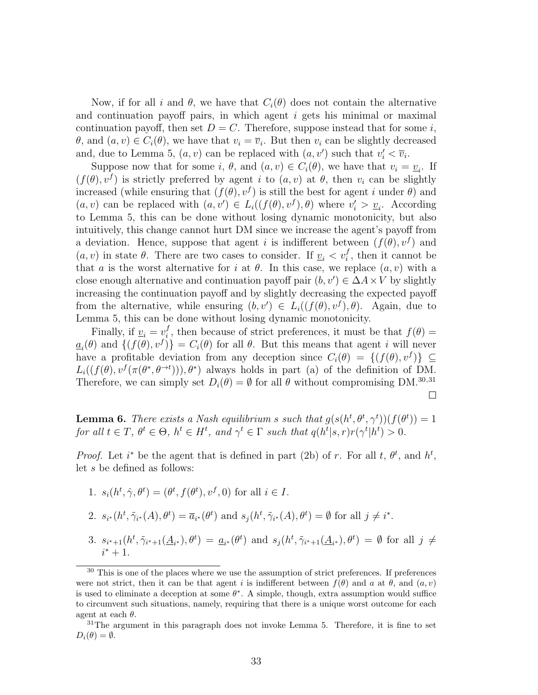Now, if for all i and  $\theta$ , we have that  $C_i(\theta)$  does not contain the alternative and continuation payoff pairs, in which agent i gets his minimal or maximal continuation payoff, then set  $D = C$ . Therefore, suppose instead that for some i,  $\theta$ , and  $(a, v) \in C_i(\theta)$ , we have that  $v_i = \overline{v}_i$ . But then  $v_i$  can be slightly decreased and, due to Lemma 5,  $(a, v)$  can be replaced with  $(a, v')$  such that  $v'_i < \overline{v}_i$ .

Suppose now that for some *i*,  $\theta$ , and  $(a, v) \in C_i(\theta)$ , we have that  $v_i = \underline{v}_i$ . If  $(f(\theta), v^f)$  is strictly preferred by agent i to  $(a, v)$  at  $\theta$ , then  $v_i$  can be slightly increased (while ensuring that  $(f(\theta), v^f)$  is still the best for agent i under  $\theta$ ) and  $(a, v)$  can be replaced with  $(a, v') \in L_i((f(\theta), v^f), \theta)$  where  $v'_i > v_i$ . According to Lemma 5, this can be done without losing dynamic monotonicity, but also intuitively, this change cannot hurt DM since we increase the agent's payoff from a deviation. Hence, suppose that agent i is indifferent between  $(f(\theta), v^f)$  and  $(a, v)$  in state  $\theta$ . There are two cases to consider. If  $v_i < v_i^f$ , then it cannot be that a is the worst alternative for i at  $\theta$ . In this case, we replace  $(a, v)$  with a close enough alternative and continuation payoff pair  $(b, v') \in \Delta A \times V$  by slightly increasing the continuation payoff and by slightly decreasing the expected payoff from the alternative, while ensuring  $(b, v') \in L_i((f(\theta), v^f), \theta)$ . Again, due to Lemma 5, this can be done without losing dynamic monotonicity.

Finally, if  $\underline{v}_i = v_i^f$  $i<sub>i</sub>$ , then because of strict preferences, it must be that  $f(\theta) =$  $\underline{a}_i(\theta)$  and  $\{(f(\theta), v^f)\} = C_i(\theta)$  for all  $\theta$ . But this means that agent i will never have a profitable deviation from any deception since  $C_i(\theta) = \{ (f(\theta), v^f) \} \subseteq$  $L_i((f(\theta), v^f(\pi(\theta^*, \theta^{-t}))), \theta^*)$  always holds in part (a) of the definition of DM. Therefore, we can simply set  $D_i(\theta) = \emptyset$  for all  $\theta$  without compromising DM.<sup>30,31</sup>  $\Box$ 

**Lemma 6.** There exists a Nash equilibrium s such that  $g(s(h^t, \theta^t, \gamma^t))(f(\theta^t)) = 1$ for all  $t \in T$ ,  $\theta^t \in \Theta$ ,  $h^t \in H^t$ , and  $\gamma^t \in \Gamma$  such that  $q(h^t|s, r)r(\gamma^t|h^t) > 0$ .

*Proof.* Let  $i^*$  be the agent that is defined in part (2b) of r. For all t,  $\theta^t$ , and  $h^t$ , let s be defined as follows:

1.  $s_i(h^t, \hat{\gamma}, \theta^t) = (\theta^t, f(\theta^t), v^f, 0)$  for all  $i \in I$ .

2. 
$$
s_{i^*}(h^t, \tilde{\gamma}_{i^*}(A), \theta^t) = \overline{a}_{i^*}(\theta^t)
$$
 and  $s_j(h^t, \tilde{\gamma}_{i^*}(A), \theta^t) = \emptyset$  for all  $j \neq i^*$ .

3.  $s_{i^*+1}(h^t, \tilde{\gamma}_{i^*+1}(\underline{A}_{i^*}), \theta^t) = \underline{a}_{i^*}(\theta^t)$  and  $s_j(h^t, \tilde{\gamma}_{i^*+1}(\underline{A}_{i^*}), \theta^t) = \emptyset$  for all  $j \neq$  $i^* + 1$ .

<sup>&</sup>lt;sup>30</sup> This is one of the places where we use the assumption of strict preferences. If preferences were not strict, then it can be that agent i is indifferent between  $f(\theta)$  and a at  $\theta$ , and  $(a, v)$ is used to eliminate a deception at some  $\theta^*$ . A simple, though, extra assumption would suffice to circumvent such situations, namely, requiring that there is a unique worst outcome for each agent at each  $\theta$ .

<sup>&</sup>lt;sup>31</sup>The argument in this paragraph does not invoke Lemma 5. Therefore, it is fine to set  $D_i(\theta) = \emptyset.$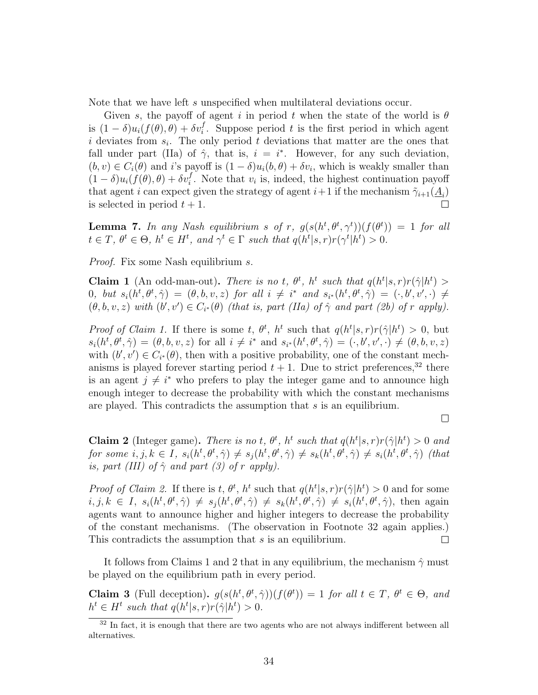Note that we have left s unspecified when multilateral deviations occur.

Given s, the payoff of agent i in period t when the state of the world is  $\theta$ is  $(1 - \delta)u_i(f(\theta), \theta) + \delta v_i^f$ . Suppose period t is the first period in which agent i deviates from  $s_i$ . The only period t deviations that matter are the ones that fall under part (IIa) of  $\hat{\gamma}$ , that is,  $i = i^*$ . However, for any such deviation,  $(b, v) \in C_i(\theta)$  and i's payoff is  $(1 - \delta)u_i(b, \theta) + \delta v_i$ , which is weakly smaller than  $(1 - \delta)u_i(f(\theta), \theta) + \delta v_i^f$ . Note that  $v_i$  is, indeed, the highest continuation payoff that agent *i* can expect given the strategy of agent  $i+1$  if the mechanism  $\tilde{\gamma}_{i+1}(\underline{A}_i)$ is selected in period  $t + 1$ .  $\Box$ 

**Lemma 7.** In any Nash equilibrium s of r,  $g(s(h^t, \theta^t, \gamma^t))(f(\theta^t)) = 1$  for all  $t \in T$ ,  $\theta^t \in \Theta$ ,  $h^t \in H^t$ , and  $\gamma^t \in \Gamma$  such that  $q(h^t|s, r)r(\gamma^t|h^t) > 0$ .

Proof. Fix some Nash equilibrium s.

**Claim 1** (An odd-man-out). There is no t,  $\theta^t$ ,  $h^t$  such that  $q(h^t|s, r)r(\hat{\gamma}|h^t) >$ 0, but  $s_i(h^t, \theta^t, \hat{\gamma}) = (\theta, b, v, z)$  for all  $i \neq i^*$  and  $s_{i^*}(h^t, \theta^t, \hat{\gamma}) = (\cdot, b', v', \cdot) \neq$  $(\theta, b, v, z)$  with  $(b', v') \in C_{i^*}(\theta)$  (that is, part (IIa) of  $\hat{\gamma}$  and part (2b) of r apply).

*Proof of Claim 1.* If there is some t,  $\theta^t$ ,  $h^t$  such that  $q(h^t|s, r)r(\hat{\gamma}|h^t) > 0$ , but  $s_i(h^t, \theta^t, \hat{\gamma}) = (\theta, b, v, z)$  for all  $i \neq i^*$  and  $s_{i^*}(h^t, \theta^t, \hat{\gamma}) = (\cdot, b', v', \cdot) \neq (\theta, b, v, z)$ with  $(b', v') \in C_{i^*}(\theta)$ , then with a positive probability, one of the constant mechanisms is played forever starting period  $t + 1$ . Due to strict preferences,<sup>32</sup> there is an agent  $j \neq i^*$  who prefers to play the integer game and to announce high enough integer to decrease the probability with which the constant mechanisms are played. This contradicts the assumption that s is an equilibrium.

 $\Box$ 

**Claim 2** (Integer game). There is no t,  $\theta^t$ ,  $h^t$  such that  $q(h^t|s, r)r(\hat{\gamma}|h^t) > 0$  and for some  $i, j, k \in I$ ,  $s_i(h^t, \theta^t, \hat{\gamma}) \neq s_j(h^t, \theta^t, \hat{\gamma}) \neq s_k(h^t, \theta^t, \hat{\gamma}) \neq s_i(h^t, \theta^t, \hat{\gamma})$  (that is, part (III) of  $\hat{\gamma}$  and part (3) of r apply).

*Proof of Claim 2.* If there is t,  $\theta^t$ ,  $h^t$  such that  $q(h^t|s, r)r(\hat{\gamma}|h^t) > 0$  and for some  $i, j, k \in I$ ,  $s_i(h^t, \theta^t, \hat{\gamma}) \neq s_j(h^t, \theta^t, \hat{\gamma}) \neq s_k(h^t, \theta^t, \hat{\gamma}) \neq s_i(h^t, \theta^t, \hat{\gamma})$ , then again agents want to announce higher and higher integers to decrease the probability of the constant mechanisms. (The observation in Footnote 32 again applies.) This contradicts the assumption that s is an equilibrium.  $\Box$ 

It follows from Claims 1 and 2 that in any equilibrium, the mechanism  $\hat{\gamma}$  must be played on the equilibrium path in every period.

**Claim 3** (Full deception).  $g(s(h^t, \theta^t, \hat{\gamma}))(f(\theta^t)) = 1$  for all  $t \in T$ ,  $\theta^t \in \Theta$ , and  $h^t \in H^t$  such that  $q(h^t|s, r)r(\hat{\gamma}|h^t) > 0$ .

<sup>&</sup>lt;sup>32</sup> In fact, it is enough that there are two agents who are not always indifferent between all alternatives.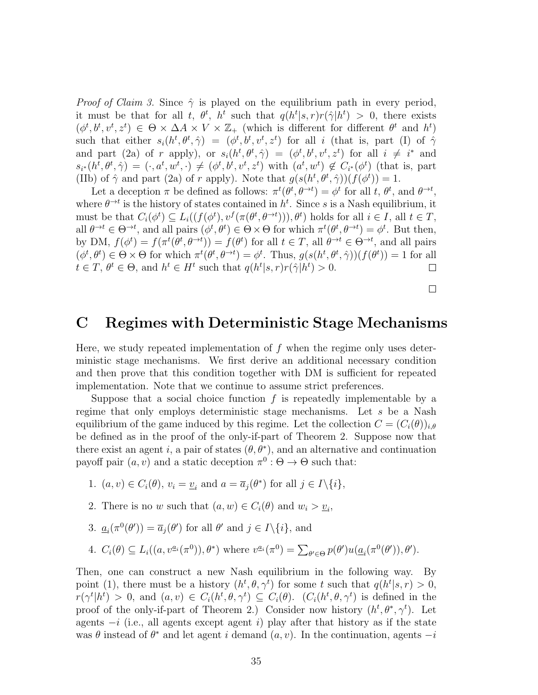*Proof of Claim 3.* Since  $\hat{\gamma}$  is played on the equilibrium path in every period, it must be that for all t,  $\theta^t$ ,  $h^t$  such that  $q(h^t|s, r)r(\hat{\gamma}|h^t) > 0$ , there exists  $(\phi^t, b^t, v^t, z^t) \in \Theta \times \Delta A \times V \times \mathbb{Z}_+$  (which is different for different  $\theta^t$  and  $h^t$ ) such that either  $s_i(h^t, \theta^t, \hat{\gamma}) = (\phi^t, b^t, v^t, z^t)$  for all i (that is, part (I) of  $\hat{\gamma}$ and part (2a) of r apply), or  $s_i(h^t, \theta^t, \hat{\gamma}) = (\phi^t, b^t, v^t, z^t)$  for all  $i \neq i^*$  and  $s_{i^*}(h^t, \theta^t, \hat{\gamma}) = (\cdot, a^t, w^t, \cdot) \neq (\phi^t, b^t, v^t, z^t)$  with  $(a^t, w^t) \notin C_{i^*}(\phi^t)$  (that is, part (IIb) of  $\hat{\gamma}$  and part (2a) of r apply). Note that  $g(s(h^t, \theta^t, \hat{\gamma}))(f(\phi^t)) = 1$ .

Let a deception  $\pi$  be defined as follows:  $\pi^t(\theta^t, \theta^{\to t}) = \phi^t$  for all  $t, \theta^t$ , and  $\theta^{\to t}$ , where  $\theta^{\to t}$  is the history of states contained in  $h^t$ . Since s is a Nash equilibrium, it must be that  $C_i(\phi^t) \subseteq L_i((f(\phi^t), v^f(\pi(\theta^t, \theta^{\to t}))), \theta^t)$  holds for all  $i \in I$ , all  $t \in T$ , all  $\theta^{\to t} \in \Theta^{\to t}$ , and all pairs  $(\phi^t, \theta^t) \in \Theta \times \Theta$  for which  $\pi^t(\theta^t, \theta^{\to t}) = \phi^t$ . But then, by DM,  $f(\phi^t) = f(\pi^t(\theta^t, \theta^{\to t})) = f(\theta^t)$  for all  $t \in T$ , all  $\theta^{\to t} \in \Theta^{\to t}$ , and all pairs  $(\phi^t, \theta^t) \in \Theta \times \Theta$  for which  $\pi^t(\theta^t, \theta^{\to t}) = \phi^t$ . Thus,  $g(s(h^t, \theta^t, \hat{\gamma}))(f(\theta^t)) = 1$  for all  $t \in T$ ,  $\theta^t \in \Theta$ , and  $h^t \in H^t$  such that  $q(h^t|s, r)r(\hat{\gamma}|h^t) > 0$ .  $\Box$ 

 $\Box$ 

### C Regimes with Deterministic Stage Mechanisms

Here, we study repeated implementation of  $f$  when the regime only uses deterministic stage mechanisms. We first derive an additional necessary condition and then prove that this condition together with DM is sufficient for repeated implementation. Note that we continue to assume strict preferences.

Suppose that a social choice function  $f$  is repeatedly implementable by a regime that only employs deterministic stage mechanisms. Let s be a Nash equilibrium of the game induced by this regime. Let the collection  $C = (C_i(\theta))_{i,\theta}$ be defined as in the proof of the only-if-part of Theorem 2. Suppose now that there exist an agent i, a pair of states  $(\theta, \theta^*)$ , and an alternative and continuation payoff pair  $(a, v)$  and a static deception  $\pi^0 : \Theta \to \Theta$  such that:

- 1.  $(a, v) \in C_i(\theta)$ ,  $v_i = \underline{v}_i$  and  $a = \overline{a}_j(\theta^*)$  for all  $j \in I \setminus \{i\}$ ,
- 2. There is no w such that  $(a, w) \in C_i(\theta)$  and  $w_i > \underline{v}_i$ ,
- 3.  $\underline{a}_i(\pi^0(\theta')) = \overline{a}_j(\theta')$  for all  $\theta'$  and  $j \in I \setminus \{i\}$ , and
- 4.  $C_i(\theta) \subseteq L_i((a, v^{a_i}(\pi^0)), \theta^*)$  where  $v^{a_i}(\pi^0) = \sum_{\theta' \in \Theta} p(\theta') u(\underline{a}_i(\pi^0(\theta')), \theta').$

Then, one can construct a new Nash equilibrium in the following way. By point (1), there must be a history  $(h^t, \theta, \gamma^t)$  for some t such that  $q(h^t|s, r) > 0$ ,  $r(\gamma^t|h^t) > 0$ , and  $(a, v) \in C_i(h^t, \theta, \gamma^t) \subseteq C_i(\theta)$ .  $(C_i(h^t, \theta, \gamma^t)$  is defined in the proof of the only-if-part of Theorem 2.) Consider now history  $(h^t, \theta^*, \gamma^t)$ . Let agents  $-i$  (i.e., all agents except agent i) play after that history as if the state was  $\theta$  instead of  $\theta^*$  and let agent i demand  $(a, v)$ . In the continuation, agents  $-i$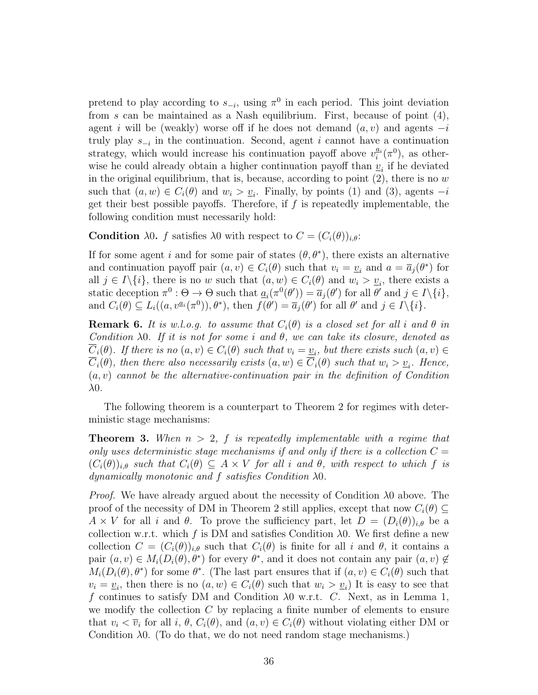pretend to play according to  $s_{-i}$ , using  $\pi^0$  in each period. This joint deviation from s can be maintained as a Nash equilibrium. First, because of point (4), agent i will be (weakly) worse off if he does not demand  $(a, v)$  and agents  $-i$ truly play  $s_{-i}$  in the continuation. Second, agent i cannot have a continuation strategy, which would increase his continuation payoff above  $v_i^{a_i}$  $\frac{a_i}{i}(\pi^0)$ , as otherwise he could already obtain a higher continuation payoff than  $\underline{v}_i$  if he deviated in the original equilibrium, that is, because, according to point  $(2)$ , there is no w such that  $(a, w) \in C_i(\theta)$  and  $w_i > \underline{v}_i$ . Finally, by points (1) and (3), agents  $-i$ get their best possible payoffs. Therefore, if  $f$  is repeatedly implementable, the following condition must necessarily hold:

Condition  $\lambda 0$ . f satisfies  $\lambda 0$  with respect to  $C = (C_i(\theta))_{i,\theta}$ :

If for some agent i and for some pair of states  $(\theta, \theta^*)$ , there exists an alternative and continuation payoff pair  $(a, v) \in C_i(\theta)$  such that  $v_i = v_i$  and  $a = \overline{a}_j(\theta^*)$  for all  $j \in I \setminus \{i\}$ , there is no w such that  $(a, w) \in C_i(\theta)$  and  $w_i > v_i$ , there exists a static deception  $\pi^0 : \Theta \to \Theta$  such that  $\underline{a}_i(\pi^0(\theta')) = \overline{a}_j(\theta')$  for all  $\theta'$  and  $j \in I \setminus \{i\},\$ and  $C_i(\theta) \subseteq L_i((a, v^{a_i}(\pi^0)), \theta^*)$ , then  $f(\theta') = \overline{a}_j(\theta')$  for all  $\theta'$  and  $j \in I \setminus \{i\}$ .

**Remark 6.** It is w.l.o.g. to assume that  $C_i(\theta)$  is a closed set for all i and  $\theta$  in Condition  $\lambda$ 0. If it is not for some i and  $\theta$ , we can take its closure, denoted as  $C_i(\theta)$ . If there is no  $(a, v) \in C_i(\theta)$  such that  $v_i = \underline{v}_i$ , but there exists such  $(a, v) \in$  $C_i(\theta)$ , then there also necessarily exists  $(a, w) \in C_i(\theta)$  such that  $w_i > v_i$ . Hence,  $(a, v)$  cannot be the alternative-continuation pair in the definition of Condition  $\lambda$ 0.

The following theorem is a counterpart to Theorem 2 for regimes with deterministic stage mechanisms:

**Theorem 3.** When  $n > 2$ , f is repeatedly implementable with a regime that only uses deterministic stage mechanisms if and only if there is a collection  $C =$  $(C_i(\theta))_{i,\theta}$  such that  $C_i(\theta) \subseteq A \times V$  for all i and  $\theta$ , with respect to which f is dynamically monotonic and f satisfies Condition λ0.

*Proof.* We have already argued about the necessity of Condition  $\lambda$ 0 above. The proof of the necessity of DM in Theorem 2 still applies, except that now  $C_i(\theta) \subseteq$  $A \times V$  for all i and  $\theta$ . To prove the sufficiency part, let  $D = (D_i(\theta))_{i,\theta}$  be a collection w.r.t. which f is DM and satisfies Condition  $\lambda$ 0. We first define a new collection  $C = (C_i(\theta))_{i,\theta}$  such that  $C_i(\theta)$  is finite for all i and  $\theta$ , it contains a pair  $(a, v) \in M_i(D_i(\theta), \theta^*)$  for every  $\theta^*$ , and it does not contain any pair  $(a, v) \notin$  $M_i(D_i(\theta), \theta^*)$  for some  $\theta^*$ . (The last part ensures that if  $(a, v) \in C_i(\theta)$  such that  $v_i = \underline{v}_i$ , then there is no  $(a, w) \in C_i(\theta)$  such that  $w_i > \underline{v}_i$ ) It is easy to see that f continues to satisfy DM and Condition  $\lambda 0$  w.r.t. C. Next, as in Lemma 1, we modify the collection  $C$  by replacing a finite number of elements to ensure that  $v_i < \overline{v}_i$  for all i,  $\theta$ ,  $C_i(\theta)$ , and  $(a, v) \in C_i(\theta)$  without violating either DM or Condition  $\lambda 0$ . (To do that, we do not need random stage mechanisms.)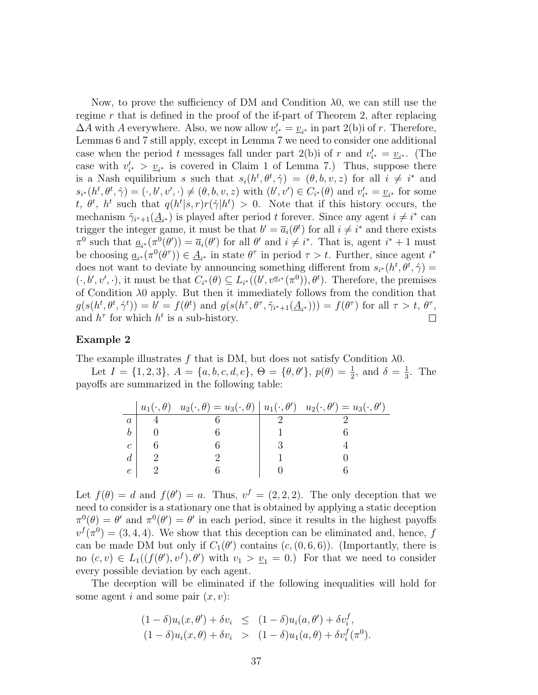Now, to prove the sufficiency of DM and Condition  $\lambda$ 0, we can still use the regime  $r$  that is defined in the proof of the if-part of Theorem 2, after replacing  $\Delta A$  with A everywhere. Also, we now allow  $v'_{i^*} = \underline{v}_{i^*}$  in part 2(b)i of r. Therefore, Lemmas 6 and 7 still apply, except in Lemma 7 we need to consider one additional case when the period t messages fall under part 2(b)i of r and  $v'_{i^*} = v_{i^*}$ . (The case with  $v'_{i^*} > v_{i^*}$  is covered in Claim 1 of Lemma 7.) Thus, suppose there is a Nash equilibrium s such that  $s_i(h^t, \theta^t, \hat{\gamma}) = (\theta, b, v, z)$  for all  $i \neq i^*$  and  $s_{i^*}(h^t, \theta^t, \hat{\gamma}) = (\cdot, b', v', \cdot) \neq (\theta, b, v, z)$  with  $(b', v') \in C_{i^*}(\theta)$  and  $v'_{i^*} = \underline{v}_{i^*}$  for some t,  $\theta^t$ ,  $h^t$  such that  $q(h^t|s, r)r(\hat{\gamma}|h^t) > 0$ . Note that if this history occurs, the mechanism  $\tilde{\gamma}_{i^*+1}(\underline{A}_{i^*})$  is played after period t forever. Since any agent  $i \neq i^*$  can trigger the integer game, it must be that  $b' = \overline{a}_i(\theta^t)$  for all  $i \neq i^*$  and there exists  $\pi^0$  such that  $\underline{a}_{i^*}(\pi^0(\theta')) = \overline{a}_{i}(\theta')$  for all  $\theta'$  and  $i \neq i^*$ . That is, agent  $i^* + 1$  must be choosing  $\underline{a}_{i^*}(\pi^0(\theta^{\tau})) \in \underline{A}_{i^*}$  in state  $\theta^{\tau}$  in period  $\tau > t$ . Further, since agent  $i^*$ does not want to deviate by announcing something different from  $s_{i^*}(h^t, \theta^t, \hat{\gamma}) =$  $(\cdot, b', v', \cdot)$ , it must be that  $C_{i^*}(\theta) \subseteq L_{i^*}((b', v^{a_{i^*}}(\pi^0)), \theta^t)$ . Therefore, the premises of Condition  $\lambda$ 0 apply. But then it immediately follows from the condition that  $g(s(h^t, \theta^t, \hat{\gamma}^t)) = b' = f(\theta^t)$  and  $g(s(h^{\tau}, \theta^{\tau}, \tilde{\gamma}_{i^*+1}(\underline{A}_{i^*}))) = f(\theta^{\tau})$  for all  $\tau > t$ ,  $\theta^{\tau}$ , and  $h^{\tau}$  for which  $h^t$  is a sub-history.  $\Box$ 

### Example 2

The example illustrates f that is DM, but does not satisfy Condition  $\lambda$ 0.

Let  $I = \{1, 2, 3\}, A = \{a, b, c, d, e\}, \Theta = \{\theta, \theta'\}, p(\theta) = \frac{1}{2}$ , and  $\delta = \frac{1}{3}$  $\frac{1}{3}$ . The payoffs are summarized in the following table:

|                |  | $u_1(\cdot,\theta)$ $u_2(\cdot,\theta) = u_3(\cdot,\theta)   u_1(\cdot,\theta')   u_2(\cdot,\theta') = u_3(\cdot,\theta')$ |
|----------------|--|----------------------------------------------------------------------------------------------------------------------------|
| $\alpha$       |  |                                                                                                                            |
|                |  |                                                                                                                            |
| $\mathcal{C}$  |  |                                                                                                                            |
| $\overline{d}$ |  |                                                                                                                            |
| $\epsilon$     |  |                                                                                                                            |

Let  $f(\theta) = d$  and  $f(\theta') = a$ . Thus,  $v^f = (2, 2, 2)$ . The only deception that we need to consider is a stationary one that is obtained by applying a static deception  $\pi^0(\theta) = \theta'$  and  $\pi^0(\theta') = \theta'$  in each period, since it results in the highest payoffs  $v^f(\pi^0) = (3, 4, 4)$ . We show that this deception can be eliminated and, hence, f can be made DM but only if  $C_1(\theta')$  contains  $(c, (0, 6, 6))$ . (Importantly, there is no  $(c, v) \in L_1((f(\theta'), v^f), \theta')$  with  $v_1 > v_1 = 0$ .) For that we need to consider every possible deviation by each agent.

The deception will be eliminated if the following inequalities will hold for some agent i and some pair  $(x, v)$ :

$$
(1 - \delta)u_i(x, \theta') + \delta v_i \le (1 - \delta)u_i(a, \theta') + \delta v_i^f,
$$
  

$$
(1 - \delta)u_i(x, \theta) + \delta v_i > (1 - \delta)u_1(a, \theta) + \delta v_i^f(\pi^0).
$$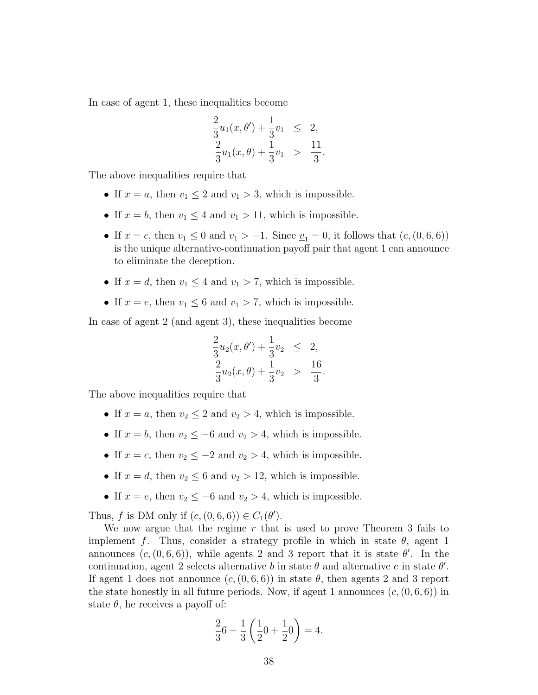In case of agent 1, these inequalities become

$$
\frac{2}{3}u_1(x, \theta') + \frac{1}{3}v_1 \leq 2, \n\frac{2}{3}u_1(x, \theta) + \frac{1}{3}v_1 > \frac{11}{3}.
$$

The above inequalities require that

- If  $x = a$ , then  $v_1 \leq 2$  and  $v_1 > 3$ , which is impossible.
- If  $x = b$ , then  $v_1 \leq 4$  and  $v_1 > 11$ , which is impossible.
- If  $x = c$ , then  $v_1 \leq 0$  and  $v_1 > -1$ . Since  $v_1 = 0$ , it follows that  $(c, (0, 6, 6))$ is the unique alternative-continuation payoff pair that agent 1 can announce to eliminate the deception.
- If  $x = d$ , then  $v_1 \leq 4$  and  $v_1 > 7$ , which is impossible.
- If  $x = e$ , then  $v_1 \leq 6$  and  $v_1 > 7$ , which is impossible.

In case of agent 2 (and agent 3), these inequalities become

$$
\frac{2}{3}u_2(x,\theta') + \frac{1}{3}v_2 \le 2, \n\frac{2}{3}u_2(x,\theta) + \frac{1}{3}v_2 > \frac{16}{3}
$$

.

The above inequalities require that

- If  $x = a$ , then  $v_2 \leq 2$  and  $v_2 > 4$ , which is impossible.
- If  $x = b$ , then  $v_2 \le -6$  and  $v_2 > 4$ , which is impossible.
- If  $x = c$ , then  $v_2 \leq -2$  and  $v_2 > 4$ , which is impossible.
- If  $x = d$ , then  $v_2 \leq 6$  and  $v_2 > 12$ , which is impossible.
- If  $x = e$ , then  $v_2 \le -6$  and  $v_2 > 4$ , which is impossible.

Thus, f is DM only if  $(c, (0, 6, 6)) \in C_1(\theta')$ .

We now argue that the regime  $r$  that is used to prove Theorem 3 fails to implement f. Thus, consider a strategy profile in which in state  $\theta$ , agent 1 announces  $(c, (0, 6, 6))$ , while agents 2 and 3 report that it is state  $\theta'$ . In the continuation, agent 2 selects alternative b in state  $\theta$  and alternative e in state  $\theta'$ . If agent 1 does not announce  $(c, (0, 6, 6))$  in state  $\theta$ , then agents 2 and 3 report the state honestly in all future periods. Now, if agent 1 announces  $(c, (0, 6, 6))$  in state  $\theta$ , he receives a payoff of:

$$
\frac{2}{3}6 + \frac{1}{3} \left( \frac{1}{2}0 + \frac{1}{2}0 \right) = 4.
$$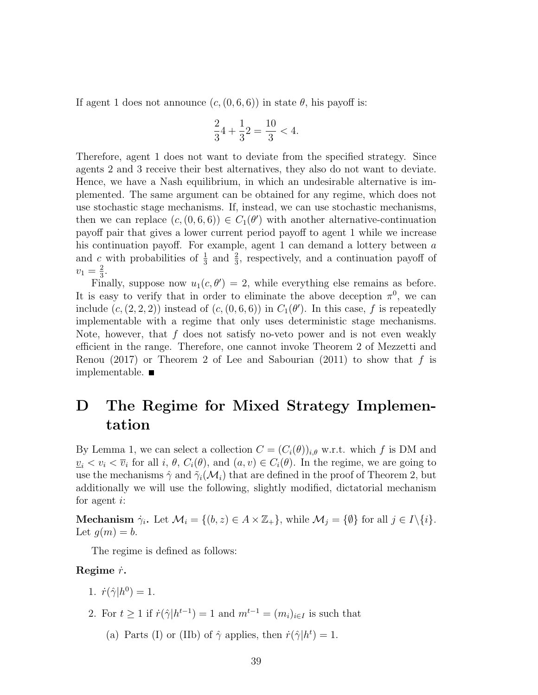If agent 1 does not announce  $(c, (0, 6, 6))$  in state  $\theta$ , his payoff is:

$$
\frac{2}{3}4 + \frac{1}{3}2 = \frac{10}{3} < 4.
$$

Therefore, agent 1 does not want to deviate from the specified strategy. Since agents 2 and 3 receive their best alternatives, they also do not want to deviate. Hence, we have a Nash equilibrium, in which an undesirable alternative is implemented. The same argument can be obtained for any regime, which does not use stochastic stage mechanisms. If, instead, we can use stochastic mechanisms, then we can replace  $(c, (0, 6, 6)) \in C_1(\theta')$  with another alternative-continuation payoff pair that gives a lower current period payoff to agent 1 while we increase his continuation payoff. For example, agent 1 can demand a lottery between a and c with probabilities of  $\frac{1}{3}$  and  $\frac{2}{3}$ , respectively, and a continuation payoff of  $v_1 = \frac{2}{3}$  $\frac{2}{3}$ .

Finally, suppose now  $u_1(c, \theta') = 2$ , while everything else remains as before. It is easy to verify that in order to eliminate the above deception  $\pi^0$ , we can include  $(c, (2, 2, 2))$  instead of  $(c, (0, 6, 6))$  in  $C_1(\theta')$ . In this case, f is repeatedly implementable with a regime that only uses deterministic stage mechanisms. Note, however, that  $f$  does not satisfy no-veto power and is not even weakly efficient in the range. Therefore, one cannot invoke Theorem 2 of Mezzetti and Renou (2017) or Theorem 2 of Lee and Sabourian (2011) to show that  $f$  is implementable.

# D The Regime for Mixed Strategy Implementation

By Lemma 1, we can select a collection  $C = (C_i(\theta))_{i,\theta}$  w.r.t. which f is DM and  $\underline{v}_i < v_i < \overline{v}_i$  for all  $i, \theta, C_i(\theta)$ , and  $(a, v) \in C_i(\theta)$ . In the regime, we are going to use the mechanisms  $\hat{\gamma}$  and  $\tilde{\gamma}_i(\mathcal{M}_i)$  that are defined in the proof of Theorem 2, but additionally we will use the following, slightly modified, dictatorial mechanism for agent  $i$ :

**Mechanism**  $\dot{\gamma}_i$ . Let  $\mathcal{M}_i = \{(b, z) \in A \times \mathbb{Z}_+\}$ , while  $\mathcal{M}_j = \{\emptyset\}$  for all  $j \in I \setminus \{i\}$ . Let  $q(m) = b$ .

The regime is defined as follows:

Regime  $\dot{r}$ .

- 1.  $\dot{r}(\hat{\gamma}|h^0) = 1$ .
- 2. For  $t \geq 1$  if  $\dot{r}(\hat{\gamma}|h^{t-1}) = 1$  and  $m^{t-1} = (m_i)_{i \in I}$  is such that
	- (a) Parts (I) or (IIb) of  $\hat{\gamma}$  applies, then  $\dot{r}(\hat{\gamma}|h^t) = 1$ .